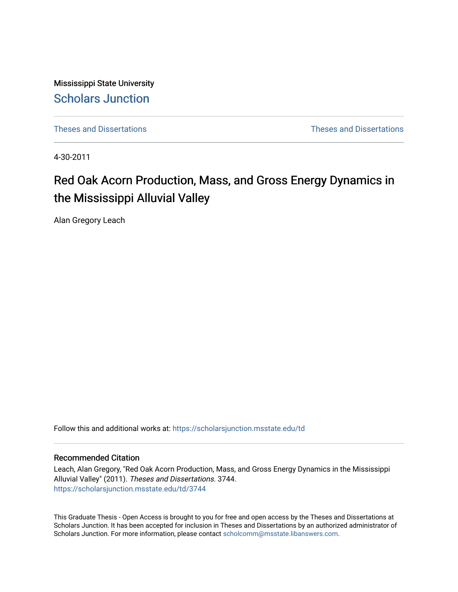Mississippi State University [Scholars Junction](https://scholarsjunction.msstate.edu/) 

[Theses and Dissertations](https://scholarsjunction.msstate.edu/td) [Theses and Dissertations](https://scholarsjunction.msstate.edu/theses-dissertations) 

4-30-2011

# Red Oak Acorn Production, Mass, and Gross Energy Dynamics in the Mississippi Alluvial Valley

Alan Gregory Leach

Follow this and additional works at: [https://scholarsjunction.msstate.edu/td](https://scholarsjunction.msstate.edu/td?utm_source=scholarsjunction.msstate.edu%2Ftd%2F3744&utm_medium=PDF&utm_campaign=PDFCoverPages) 

#### Recommended Citation

Leach, Alan Gregory, "Red Oak Acorn Production, Mass, and Gross Energy Dynamics in the Mississippi Alluvial Valley" (2011). Theses and Dissertations. 3744. [https://scholarsjunction.msstate.edu/td/3744](https://scholarsjunction.msstate.edu/td/3744?utm_source=scholarsjunction.msstate.edu%2Ftd%2F3744&utm_medium=PDF&utm_campaign=PDFCoverPages) 

This Graduate Thesis - Open Access is brought to you for free and open access by the Theses and Dissertations at Scholars Junction. It has been accepted for inclusion in Theses and Dissertations by an authorized administrator of Scholars Junction. For more information, please contact [scholcomm@msstate.libanswers.com.](mailto:scholcomm@msstate.libanswers.com)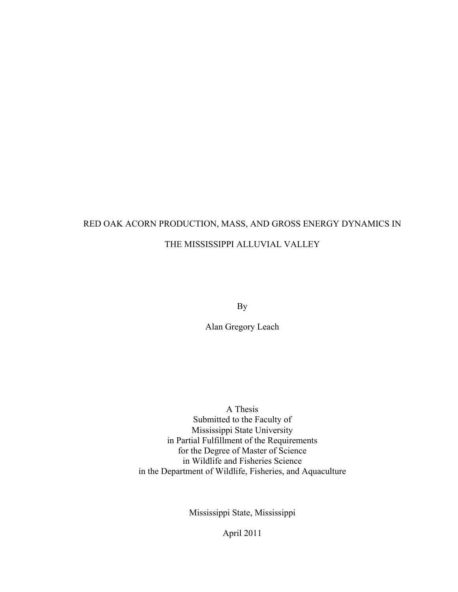# RED OAK ACORN PRODUCTION, MASS, AND GROSS ENERGY DYNAMICS IN THE MISSISSIPPI ALLUVIAL VALLEY

By

Alan Gregory Leach

A Thesis Submitted to the Faculty of Mississippi State University in Partial Fulfillment of the Requirements for the Degree of Master of Science in Wildlife and Fisheries Science in the Department of Wildlife, Fisheries, and Aquaculture

Mississippi State, Mississippi

April 2011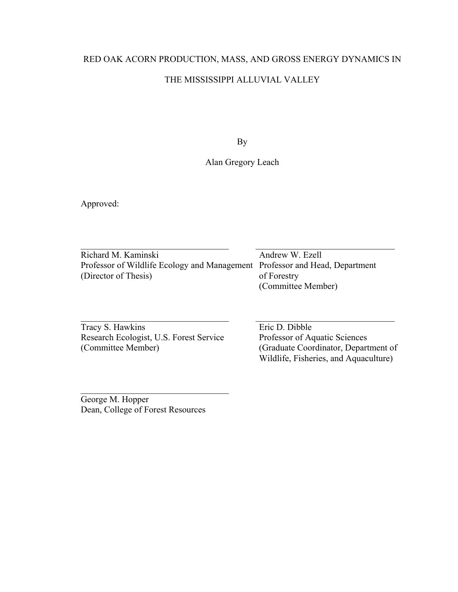## RED OAK ACORN PRODUCTION, MASS, AND GROSS ENERGY DYNAMICS IN

## THE MISSISSIPPI ALLUVIAL VALLEY

By

## Alan Gregory Leach

Approved:

 $\_$  , and the contribution of the contribution of  $\overline{C}$  , and  $\overline{C}$  , and  $\overline{C}$  , and  $\overline{C}$  , and  $\overline{C}$ Richard M. Kaminski Andrew W. Ezell Professor of Wildlife Ecology and Management Professor and Head, Department (Director of Thesis) of Forestry (Committee Member)

Tracy S. Hawkins<br>
Research Ecologist, U.S. Forest Service<br>
Professor of Aquatic Sciences Research Ecologist, U.S. Forest Service (Committee Member) (Graduate Coordinator, Department of

 $\overline{\phantom{a}}$  , which is a set of the set of the set of the set of the set of the set of the set of the set of the set of the set of the set of the set of the set of the set of the set of the set of the set of the set of th

Wildlife, Fisheries, and Aquaculture)

George M. Hopper Dean, College of Forest Resources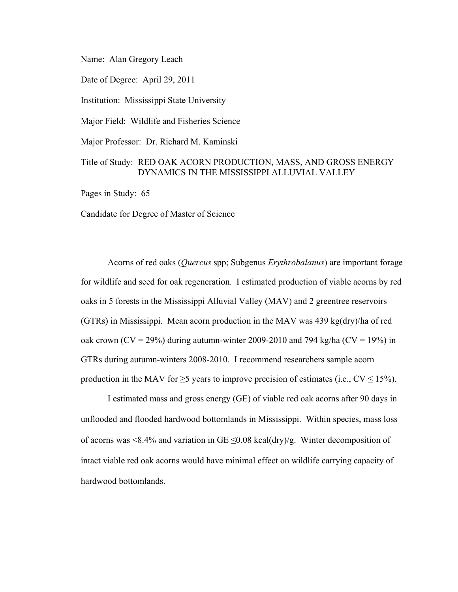Name: Alan Gregory Leach

Date of Degree: April 29, 2011

Institution: Mississippi State University

Major Field: Wildlife and Fisheries Science

Major Professor: Dr. Richard M. Kaminski

## Title of Study: RED OAK ACORN PRODUCTION, MASS, AND GROSS ENERGY DYNAMICS IN THE MISSISSIPPI ALLUVIAL VALLEY

Pages in Study: 65

Candidate for Degree of Master of Science

Acorns of red oaks (*Quercus* spp; Subgenus *Erythrobalanus*) are important forage for wildlife and seed for oak regeneration. I estimated production of viable acorns by red oaks in 5 forests in the Mississippi Alluvial Valley (MAV) and 2 greentree reservoirs (GTRs) in Mississippi. Mean acorn production in the MAV was 439 kg(dry)/ha of red oak crown (CV = 29%) during autumn-winter 2009-2010 and 794 kg/ha (CV = 19%) in GTRs during autumn-winters 2008-2010. I recommend researchers sample acorn production in the MAV for  $\geq$ 5 years to improve precision of estimates (i.e., CV  $\leq$  15%).

I estimated mass and gross energy (GE) of viable red oak acorns after 90 days in unflooded and flooded hardwood bottomlands in Mississippi. Within species, mass loss of acorns was <8.4% and variation in GE  $\leq$ 0.08 kcal(dry)/g. Winter decomposition of intact viable red oak acorns would have minimal effect on wildlife carrying capacity of hardwood bottomlands.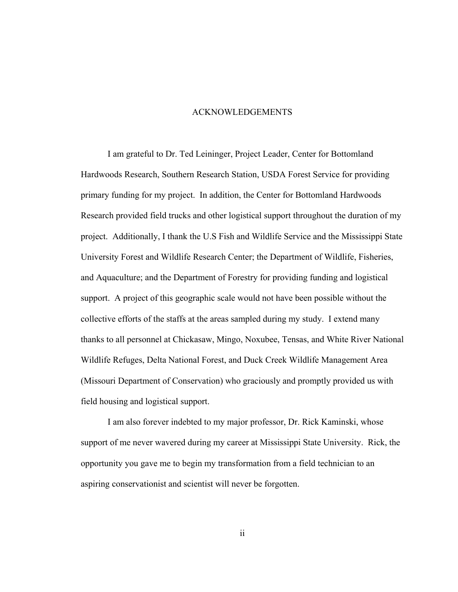#### ACKNOWLEDGEMENTS

I am grateful to Dr. Ted Leininger, Project Leader, Center for Bottomland Hardwoods Research, Southern Research Station, USDA Forest Service for providing primary funding for my project. In addition, the Center for Bottomland Hardwoods Research provided field trucks and other logistical support throughout the duration of my project. Additionally, I thank the U.S Fish and Wildlife Service and the Mississippi State University Forest and Wildlife Research Center; the Department of Wildlife, Fisheries, and Aquaculture; and the Department of Forestry for providing funding and logistical support. A project of this geographic scale would not have been possible without the collective efforts of the staffs at the areas sampled during my study. I extend many thanks to all personnel at Chickasaw, Mingo, Noxubee, Tensas, and White River National Wildlife Refuges, Delta National Forest, and Duck Creek Wildlife Management Area (Missouri Department of Conservation) who graciously and promptly provided us with field housing and logistical support.

I am also forever indebted to my major professor, Dr. Rick Kaminski, whose support of me never wavered during my career at Mississippi State University. Rick, the opportunity you gave me to begin my transformation from a field technician to an aspiring conservationist and scientist will never be forgotten.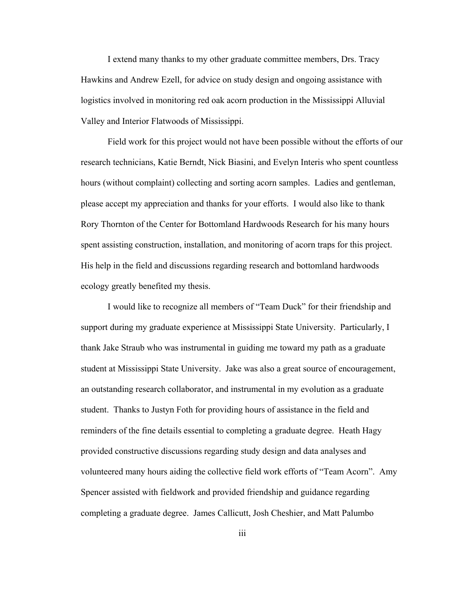I extend many thanks to my other graduate committee members, Drs. Tracy Hawkins and Andrew Ezell, for advice on study design and ongoing assistance with logistics involved in monitoring red oak acorn production in the Mississippi Alluvial Valley and Interior Flatwoods of Mississippi.

Field work for this project would not have been possible without the efforts of our research technicians, Katie Berndt, Nick Biasini, and Evelyn Interis who spent countless hours (without complaint) collecting and sorting acorn samples. Ladies and gentleman, please accept my appreciation and thanks for your efforts. I would also like to thank Rory Thornton of the Center for Bottomland Hardwoods Research for his many hours spent assisting construction, installation, and monitoring of acorn traps for this project. His help in the field and discussions regarding research and bottomland hardwoods ecology greatly benefited my thesis.

I would like to recognize all members of "Team Duck" for their friendship and support during my graduate experience at Mississippi State University. Particularly, I thank Jake Straub who was instrumental in guiding me toward my path as a graduate student at Mississippi State University. Jake was also a great source of encouragement, an outstanding research collaborator, and instrumental in my evolution as a graduate student. Thanks to Justyn Foth for providing hours of assistance in the field and reminders of the fine details essential to completing a graduate degree. Heath Hagy provided constructive discussions regarding study design and data analyses and volunteered many hours aiding the collective field work efforts of "Team Acorn". Amy Spencer assisted with fieldwork and provided friendship and guidance regarding completing a graduate degree. James Callicutt, Josh Cheshier, and Matt Palumbo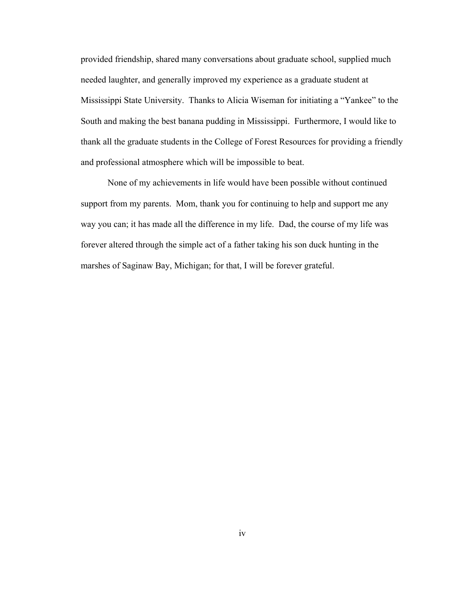provided friendship, shared many conversations about graduate school, supplied much needed laughter, and generally improved my experience as a graduate student at Mississippi State University. Thanks to Alicia Wiseman for initiating a "Yankee" to the South and making the best banana pudding in Mississippi. Furthermore, I would like to thank all the graduate students in the College of Forest Resources for providing a friendly and professional atmosphere which will be impossible to beat.

None of my achievements in life would have been possible without continued support from my parents. Mom, thank you for continuing to help and support me any way you can; it has made all the difference in my life. Dad, the course of my life was forever altered through the simple act of a father taking his son duck hunting in the marshes of Saginaw Bay, Michigan; for that, I will be forever grateful.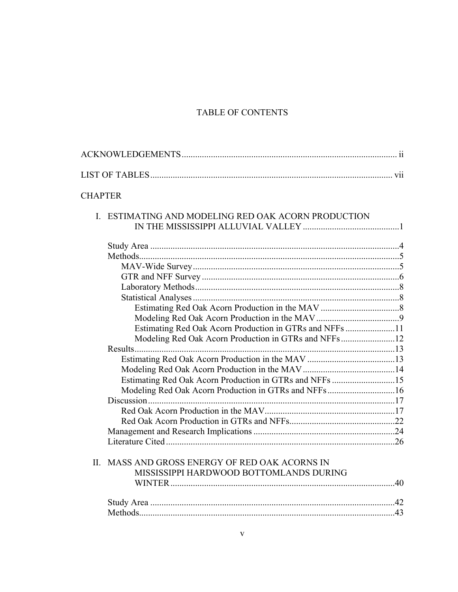# TABLE OF CONTENTS

| <b>CHAPTER</b> |                                                         |  |
|----------------|---------------------------------------------------------|--|
|                | I. ESTIMATING AND MODELING RED OAK ACORN PRODUCTION     |  |
|                |                                                         |  |
|                |                                                         |  |
|                |                                                         |  |
|                |                                                         |  |
|                |                                                         |  |
|                |                                                         |  |
|                |                                                         |  |
|                |                                                         |  |
|                |                                                         |  |
|                | Estimating Red Oak Acorn Production in GTRs and NFFs 11 |  |
|                | Modeling Red Oak Acorn Production in GTRs and NFFs12    |  |
|                |                                                         |  |
|                |                                                         |  |
|                |                                                         |  |
|                | Estimating Red Oak Acorn Production in GTRs and NFFs 15 |  |
|                | Modeling Red Oak Acorn Production in GTRs and NFFs16    |  |
|                |                                                         |  |
|                |                                                         |  |
|                |                                                         |  |
|                |                                                         |  |
|                |                                                         |  |
|                | II. MASS AND GROSS ENERGY OF RED OAK ACORNS IN          |  |
|                | MISSISSIPPI HARDWOOD BOTTOMLANDS DURING                 |  |
|                |                                                         |  |
|                |                                                         |  |
|                |                                                         |  |
|                |                                                         |  |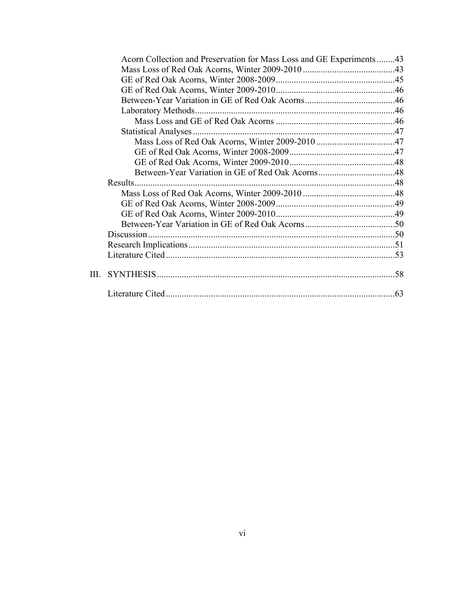| Acorn Collection and Preservation for Mass Loss and GE Experiments 43 |  |
|-----------------------------------------------------------------------|--|
|                                                                       |  |
|                                                                       |  |
|                                                                       |  |
|                                                                       |  |
|                                                                       |  |
|                                                                       |  |
|                                                                       |  |
|                                                                       |  |
|                                                                       |  |
|                                                                       |  |
|                                                                       |  |
|                                                                       |  |
|                                                                       |  |
|                                                                       |  |
|                                                                       |  |
|                                                                       |  |
|                                                                       |  |
|                                                                       |  |
|                                                                       |  |
| III.                                                                  |  |
|                                                                       |  |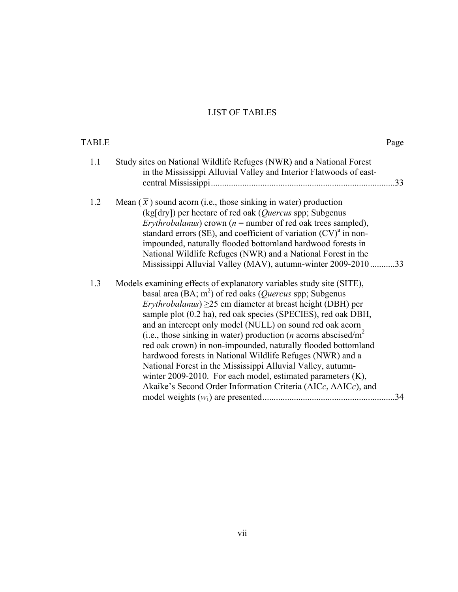# LIST OF TABLES

| <b>TABLE</b> |                                                                                                                                                                                                                                                                                                                                                                                                                                                                                                                                                                                                                                                                                                                                                                 | Page |
|--------------|-----------------------------------------------------------------------------------------------------------------------------------------------------------------------------------------------------------------------------------------------------------------------------------------------------------------------------------------------------------------------------------------------------------------------------------------------------------------------------------------------------------------------------------------------------------------------------------------------------------------------------------------------------------------------------------------------------------------------------------------------------------------|------|
| 1.1          | Study sites on National Wildlife Refuges (NWR) and a National Forest<br>in the Mississippi Alluvial Valley and Interior Flatwoods of east-                                                                                                                                                                                                                                                                                                                                                                                                                                                                                                                                                                                                                      |      |
| 1.2          | Mean $(\bar{x})$ sound acorn (i.e., those sinking in water) production<br>(kg[dry]) per hectare of red oak (Quercus spp; Subgenus<br>Erythrobalanus) crown ( $n =$ number of red oak trees sampled),<br>standard errors (SE), and coefficient of variation $(CV)^{a}$ in non-<br>impounded, naturally flooded bottomland hardwood forests in<br>National Wildlife Refuges (NWR) and a National Forest in the<br>Mississippi Alluvial Valley (MAV), autumn-winter 2009-2010 33                                                                                                                                                                                                                                                                                   |      |
| 1.3          | Models examining effects of explanatory variables study site (SITE),<br>basal area (BA; $m^2$ ) of red oaks ( <i>Quercus</i> spp; Subgenus<br><i>Erythrobalanus</i> ) $\geq$ 25 cm diameter at breast height (DBH) per<br>sample plot (0.2 ha), red oak species (SPECIES), red oak DBH,<br>and an intercept only model (NULL) on sound red oak acorn<br>(i.e., those sinking in water) production ( <i>n</i> acorns abscised/ $m2$<br>red oak crown) in non-impounded, naturally flooded bottomland<br>hardwood forests in National Wildlife Refuges (NWR) and a<br>National Forest in the Mississippi Alluvial Valley, autumn-<br>winter 2009-2010. For each model, estimated parameters (K),<br>Akaike's Second Order Information Criteria (AICc, ΔAICc), and | 34   |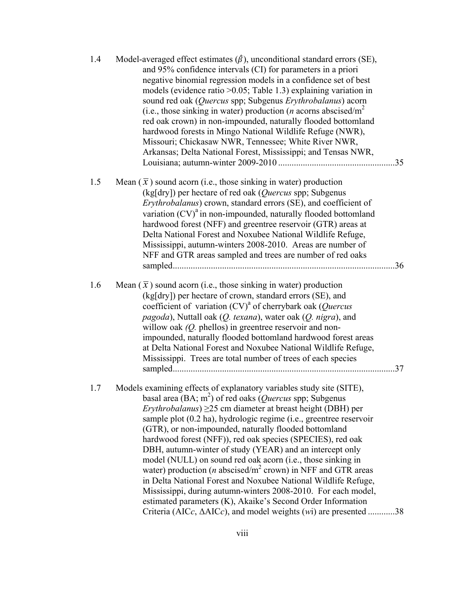| 1.4 | Model-averaged effect estimates $(\hat{\beta})$ , unconditional standard errors (SE),<br>and 95% confidence intervals (CI) for parameters in a priori<br>negative binomial regression models in a confidence set of best<br>models (evidence ratio $>0.05$ ; Table 1.3) explaining variation in<br>sound red oak (Quercus spp; Subgenus Erythrobalanus) acorn<br>(i.e., those sinking in water) production ( <i>n</i> acorns abscised/ $m2$<br>red oak crown) in non-impounded, naturally flooded bottomland<br>hardwood forests in Mingo National Wildlife Refuge (NWR),<br>Missouri; Chickasaw NWR, Tennessee; White River NWR,<br>Arkansas; Delta National Forest, Mississippi; and Tensas NWR,                                                                                                                                                                                                           |  |
|-----|--------------------------------------------------------------------------------------------------------------------------------------------------------------------------------------------------------------------------------------------------------------------------------------------------------------------------------------------------------------------------------------------------------------------------------------------------------------------------------------------------------------------------------------------------------------------------------------------------------------------------------------------------------------------------------------------------------------------------------------------------------------------------------------------------------------------------------------------------------------------------------------------------------------|--|
| 1.5 | Mean $(\bar{x})$ sound acorn (i.e., those sinking in water) production<br>(kg[dry]) per hectare of red oak (Quercus spp; Subgenus<br>Erythrobalanus) crown, standard errors (SE), and coefficient of<br>variation $(CV)^{a}$ in non-impounded, naturally flooded bottomland<br>hardwood forest (NFF) and greentree reservoir (GTR) areas at<br>Delta National Forest and Noxubee National Wildlife Refuge,<br>Mississippi, autumn-winters 2008-2010. Areas are number of<br>NFF and GTR areas sampled and trees are number of red oaks                                                                                                                                                                                                                                                                                                                                                                       |  |
| 1.6 | Mean $(\bar{x})$ sound acorn (i.e., those sinking in water) production<br>(kg[dry]) per hectare of crown, standard errors (SE), and<br>coefficient of variation $(CV)^{a}$ of cherrybark oak (Quercus<br>pagoda), Nuttall oak (Q. texana), water oak (Q. nigra), and<br>willow oak $(Q,$ phellos) in greentree reservoir and non-<br>impounded, naturally flooded bottomland hardwood forest areas<br>at Delta National Forest and Noxubee National Wildlife Refuge,<br>Mississippi. Trees are total number of trees of each species                                                                                                                                                                                                                                                                                                                                                                         |  |
| 1.7 | Models examining effects of explanatory variables study site (SITE),<br>basal area (BA; $m2$ ) of red oaks ( <i>Quercus</i> spp; Subgenus<br><i>Erythrobalanus</i> ) $\geq$ 25 cm diameter at breast height (DBH) per<br>sample plot (0.2 ha), hydrologic regime (i.e., greentree reservoir<br>(GTR), or non-impounded, naturally flooded bottomland<br>hardwood forest (NFF)), red oak species (SPECIES), red oak<br>DBH, autumn-winter of study (YEAR) and an intercept only<br>model (NULL) on sound red oak acorn (i.e., those sinking in<br>water) production ( $n$ abscised/ $m2$ crown) in NFF and GTR areas<br>in Delta National Forest and Noxubee National Wildlife Refuge,<br>Mississippi, during autumn-winters 2008-2010. For each model,<br>estimated parameters (K), Akaike's Second Order Information<br>Criteria (AICc, $\triangle$ AICc), and model weights ( <i>wi</i> ) are presented 38 |  |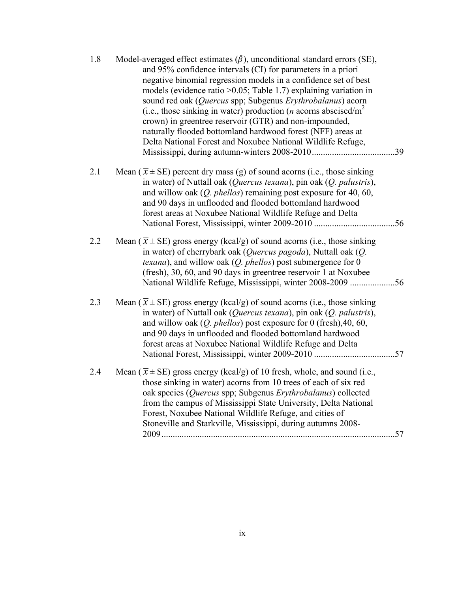| 1.8 | Model-averaged effect estimates $(\hat{\beta})$ , unconditional standard errors (SE),<br>and 95% confidence intervals (CI) for parameters in a priori<br>negative binomial regression models in a confidence set of best<br>models (evidence ratio $>0.05$ ; Table 1.7) explaining variation in<br>sound red oak (Quercus spp; Subgenus Erythrobalanus) acorn<br>(i.e., those sinking in water) production ( <i>n</i> acorns abscised/ $m2$<br>crown) in greentree reservoir (GTR) and non-impounded,<br>naturally flooded bottomland hardwood forest (NFF) areas at<br>Delta National Forest and Noxubee National Wildlife Refuge, |
|-----|-------------------------------------------------------------------------------------------------------------------------------------------------------------------------------------------------------------------------------------------------------------------------------------------------------------------------------------------------------------------------------------------------------------------------------------------------------------------------------------------------------------------------------------------------------------------------------------------------------------------------------------|
| 2.1 | Mean ( $\bar{x}$ ± SE) percent dry mass (g) of sound acorns (i.e., those sinking<br>in water) of Nuttall oak ( <i>Quercus texana</i> ), pin oak $(Q,$ palustris),<br>and willow oak $(Q.$ phellos) remaining post exposure for 40, 60,<br>and 90 days in unflooded and flooded bottomland hardwood<br>forest areas at Noxubee National Wildlife Refuge and Delta                                                                                                                                                                                                                                                                    |
| 2.2 | Mean ( $\bar{x}$ ± SE) gross energy (kcal/g) of sound acorns (i.e., those sinking<br>in water) of cherrybark oak (Quercus pagoda), Nuttall oak (Q.<br><i>texana</i> ), and willow oak $(Q, phellos)$ post submergence for 0<br>(fresh), 30, 60, and 90 days in greentree reservoir 1 at Noxubee<br>National Wildlife Refuge, Mississippi, winter 2008-2009 56                                                                                                                                                                                                                                                                       |
| 2.3 | Mean ( $\bar{x}$ ± SE) gross energy (kcal/g) of sound acorns (i.e., those sinking<br>in water) of Nuttall oak (Quercus texana), pin oak (Q. palustris),<br>and willow oak $(Q, phellos)$ post exposure for 0 (fresh), 40, 60,<br>and 90 days in unflooded and flooded bottomland hardwood<br>forest areas at Noxubee National Wildlife Refuge and Delta                                                                                                                                                                                                                                                                             |
| 2.4 | Mean ( $\bar{x}$ ± SE) gross energy (kcal/g) of 10 fresh, whole, and sound (i.e.,<br>those sinking in water) acorns from 10 trees of each of six red<br>oak species (Quercus spp; Subgenus Erythrobalanus) collected<br>from the campus of Mississippi State University, Delta National<br>Forest, Noxubee National Wildlife Refuge, and cities of<br>Stoneville and Starkville, Mississippi, during autumns 2008-<br>.57                                                                                                                                                                                                           |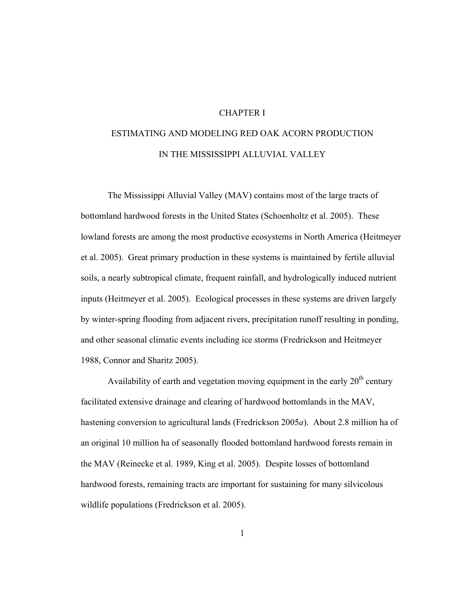## CHAPTER I

# ESTIMATING AND MODELING RED OAK ACORN PRODUCTION IN THE MISSISSIPPI ALLUVIAL VALLEY

The Mississippi Alluvial Valley (MAV) contains most of the large tracts of bottomland hardwood forests in the United States (Schoenholtz et al. 2005). These lowland forests are among the most productive ecosystems in North America (Heitmeyer et al. 2005). Great primary production in these systems is maintained by fertile alluvial soils, a nearly subtropical climate, frequent rainfall, and hydrologically induced nutrient inputs (Heitmeyer et al. 2005). Ecological processes in these systems are driven largely by winter-spring flooding from adjacent rivers, precipitation runoff resulting in ponding, and other seasonal climatic events including ice storms (Fredrickson and Heitmeyer 1988, Connor and Sharitz 2005).

Availability of earth and vegetation moving equipment in the early  $20<sup>th</sup>$  century facilitated extensive drainage and clearing of hardwood bottomlands in the MAV, hastening conversion to agricultural lands (Fredrickson 2005*a*). About 2.8 million ha of an original 10 million ha of seasonally flooded bottomland hardwood forests remain in the MAV (Reinecke et al. 1989, King et al. 2005). Despite losses of bottomland hardwood forests, remaining tracts are important for sustaining for many silvicolous wildlife populations (Fredrickson et al. 2005).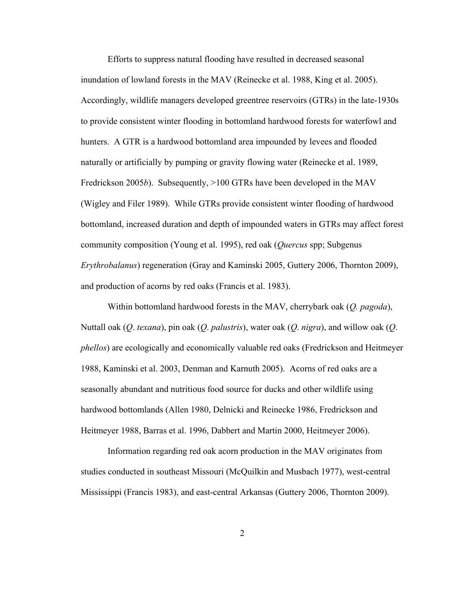Efforts to suppress natural flooding have resulted in decreased seasonal inundation of lowland forests in the MAV (Reinecke et al. 1988, King et al. 2005). Accordingly, wildlife managers developed greentree reservoirs (GTRs) in the late-1930s to provide consistent winter flooding in bottomland hardwood forests for waterfowl and hunters. A GTR is a hardwood bottomland area impounded by levees and flooded naturally or artificially by pumping or gravity flowing water (Reinecke et al. 1989, Fredrickson 2005*b*). Subsequently, >100 GTRs have been developed in the MAV (Wigley and Filer 1989). While GTRs provide consistent winter flooding of hardwood bottomland, increased duration and depth of impounded waters in GTRs may affect forest community composition (Young et al. 1995), red oak (*Quercus* spp; Subgenus *Erythrobalanus*) regeneration (Gray and Kaminski 2005, Guttery 2006, Thornton 2009), and production of acorns by red oaks (Francis et al. 1983).

Within bottomland hardwood forests in the MAV, cherrybark oak (*Q. pagoda*), Nuttall oak (*Q*. *texana*), pin oak (*Q*. *palustris*), water oak (*Q*. *nigra*), and willow oak (*Q*. *phellos*) are ecologically and economically valuable red oaks (Fredrickson and Heitmeyer 1988, Kaminski et al. 2003, Denman and Karnuth 2005). Acorns of red oaks are a seasonally abundant and nutritious food source for ducks and other wildlife using hardwood bottomlands (Allen 1980, Delnicki and Reinecke 1986, Fredrickson and Heitmeyer 1988, Barras et al. 1996, Dabbert and Martin 2000, Heitmeyer 2006).

Information regarding red oak acorn production in the MAV originates from studies conducted in southeast Missouri (McQuilkin and Musbach 1977), west-central Mississippi (Francis 1983), and east-central Arkansas (Guttery 2006, Thornton 2009).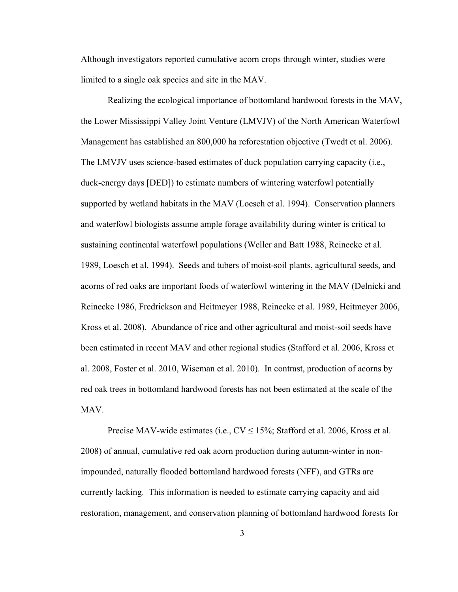Although investigators reported cumulative acorn crops through winter, studies were limited to a single oak species and site in the MAV.

Realizing the ecological importance of bottomland hardwood forests in the MAV, the Lower Mississippi Valley Joint Venture (LMVJV) of the North American Waterfowl Management has established an 800,000 ha reforestation objective (Twedt et al. 2006). The LMVJV uses science-based estimates of duck population carrying capacity (i.e., duck-energy days [DED]) to estimate numbers of wintering waterfowl potentially supported by wetland habitats in the MAV (Loesch et al. 1994). Conservation planners and waterfowl biologists assume ample forage availability during winter is critical to sustaining continental waterfowl populations (Weller and Batt 1988, Reinecke et al. 1989, Loesch et al. 1994). Seeds and tubers of moist-soil plants, agricultural seeds, and acorns of red oaks are important foods of waterfowl wintering in the MAV (Delnicki and Reinecke 1986, Fredrickson and Heitmeyer 1988, Reinecke et al. 1989, Heitmeyer 2006, Kross et al. 2008). Abundance of rice and other agricultural and moist-soil seeds have been estimated in recent MAV and other regional studies (Stafford et al. 2006, Kross et al. 2008, Foster et al. 2010, Wiseman et al. 2010). In contrast, production of acorns by red oak trees in bottomland hardwood forests has not been estimated at the scale of the MAV.

Precise MAV-wide estimates (i.e.,  $CV \le 15\%$ ; Stafford et al. 2006, Kross et al. 2008) of annual, cumulative red oak acorn production during autumn-winter in nonimpounded, naturally flooded bottomland hardwood forests (NFF), and GTRs are currently lacking. This information is needed to estimate carrying capacity and aid restoration, management, and conservation planning of bottomland hardwood forests for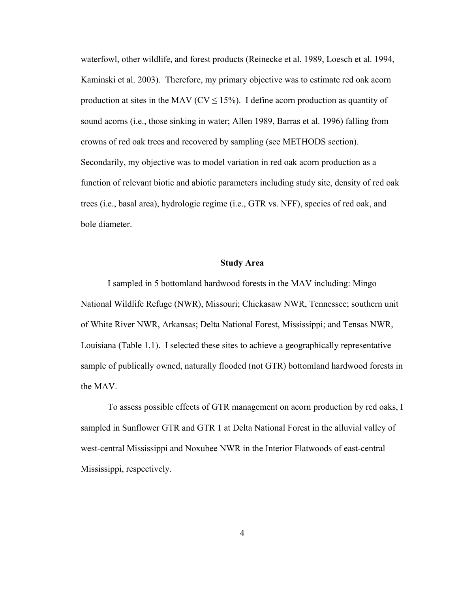waterfowl, other wildlife, and forest products (Reinecke et al. 1989, Loesch et al. 1994, Kaminski et al. 2003). Therefore, my primary objective was to estimate red oak acorn production at sites in the MAV ( $CV \le 15\%$ ). I define acorn production as quantity of sound acorns (i.e., those sinking in water; Allen 1989, Barras et al. 1996) falling from crowns of red oak trees and recovered by sampling (see METHODS section). Secondarily, my objective was to model variation in red oak acorn production as a function of relevant biotic and abiotic parameters including study site, density of red oak trees (i.e., basal area), hydrologic regime (i.e., GTR vs. NFF), species of red oak, and bole diameter.

### **Study Area**

I sampled in 5 bottomland hardwood forests in the MAV including: Mingo National Wildlife Refuge (NWR), Missouri; Chickasaw NWR, Tennessee; southern unit of White River NWR, Arkansas; Delta National Forest, Mississippi; and Tensas NWR, Louisiana (Table 1.1). I selected these sites to achieve a geographically representative sample of publically owned, naturally flooded (not GTR) bottomland hardwood forests in the MAV.

To assess possible effects of GTR management on acorn production by red oaks, I sampled in Sunflower GTR and GTR 1 at Delta National Forest in the alluvial valley of west-central Mississippi and Noxubee NWR in the Interior Flatwoods of east-central Mississippi, respectively.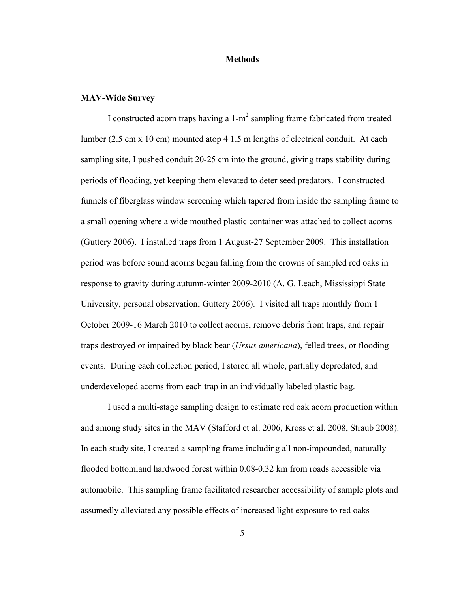#### **Methods**

#### **MAV-Wide Survey**

I constructed acorn traps having a  $1-m^2$  sampling frame fabricated from treated lumber (2.5 cm x 10 cm) mounted atop 4 1.5 m lengths of electrical conduit. At each sampling site, I pushed conduit 20-25 cm into the ground, giving traps stability during periods of flooding, yet keeping them elevated to deter seed predators. I constructed funnels of fiberglass window screening which tapered from inside the sampling frame to a small opening where a wide mouthed plastic container was attached to collect acorns (Guttery 2006). I installed traps from 1 August-27 September 2009. This installation period was before sound acorns began falling from the crowns of sampled red oaks in response to gravity during autumn-winter 2009-2010 (A. G. Leach, Mississippi State University, personal observation; Guttery 2006). I visited all traps monthly from 1 October 2009-16 March 2010 to collect acorns, remove debris from traps, and repair traps destroyed or impaired by black bear (*Ursus americana*), felled trees, or flooding events. During each collection period, I stored all whole, partially depredated, and underdeveloped acorns from each trap in an individually labeled plastic bag.

 I used a multi-stage sampling design to estimate red oak acorn production within and among study sites in the MAV (Stafford et al. 2006, Kross et al. 2008, Straub 2008). In each study site, I created a sampling frame including all non-impounded, naturally flooded bottomland hardwood forest within 0.08-0.32 km from roads accessible via automobile. This sampling frame facilitated researcher accessibility of sample plots and assumedly alleviated any possible effects of increased light exposure to red oaks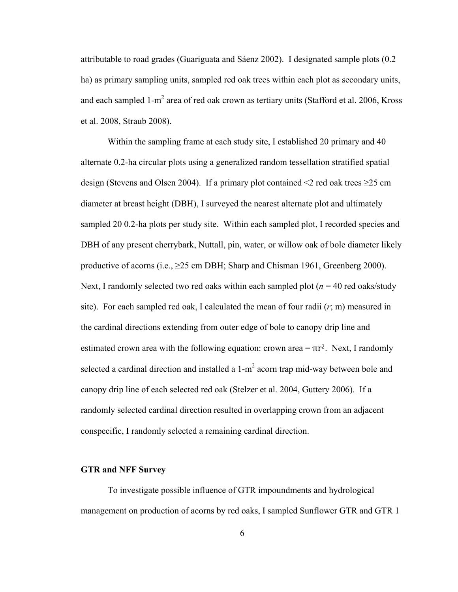attributable to road grades (Guariguata and Sáenz 2002). I designated sample plots (0.2 ha) as primary sampling units, sampled red oak trees within each plot as secondary units, and each sampled 1-m<sup>2</sup> area of red oak crown as tertiary units (Stafford et al. 2006, Kross et al. 2008, Straub 2008).

Within the sampling frame at each study site, I established 20 primary and 40 alternate 0.2-ha circular plots using a generalized random tessellation stratified spatial design (Stevens and Olsen 2004). If a primary plot contained  $\leq 2$  red oak trees  $\geq 25$  cm diameter at breast height (DBH), I surveyed the nearest alternate plot and ultimately sampled 20 0.2-ha plots per study site. Within each sampled plot, I recorded species and DBH of any present cherrybark, Nuttall, pin, water, or willow oak of bole diameter likely productive of acorns (i.e.,  $\geq$ 25 cm DBH; Sharp and Chisman 1961, Greenberg 2000). Next, I randomly selected two red oaks within each sampled plot  $(n = 40 \text{ red oaks/study})$ site). For each sampled red oak, I calculated the mean of four radii (*r*; m) measured in the cardinal directions extending from outer edge of bole to canopy drip line and estimated crown area with the following equation: crown area =  $\pi r^2$ . Next, I randomly selected a cardinal direction and installed a  $1-m^2$  acorn trap mid-way between bole and canopy drip line of each selected red oak (Stelzer et al. 2004, Guttery 2006). If a randomly selected cardinal direction resulted in overlapping crown from an adjacent conspecific, I randomly selected a remaining cardinal direction.

#### **GTR and NFF Survey**

To investigate possible influence of GTR impoundments and hydrological management on production of acorns by red oaks, I sampled Sunflower GTR and GTR 1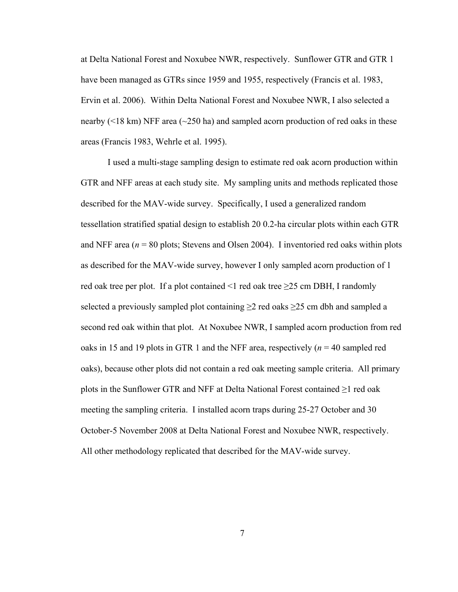at Delta National Forest and Noxubee NWR, respectively. Sunflower GTR and GTR 1 have been managed as GTRs since 1959 and 1955, respectively (Francis et al. 1983, Ervin et al. 2006). Within Delta National Forest and Noxubee NWR, I also selected a nearby (<18 km) NFF area (~250 ha) and sampled acorn production of red oaks in these areas (Francis 1983, Wehrle et al. 1995).

 I used a multi-stage sampling design to estimate red oak acorn production within GTR and NFF areas at each study site. My sampling units and methods replicated those described for the MAV-wide survey. Specifically, I used a generalized random tessellation stratified spatial design to establish 20 0.2-ha circular plots within each GTR and NFF area ( $n = 80$  plots; Stevens and Olsen 2004). I inventoried red oaks within plots as described for the MAV-wide survey, however I only sampled acorn production of 1 red oak tree per plot. If a plot contained  $\leq 1$  red oak tree  $\geq 25$  cm DBH, I randomly selected a previously sampled plot containing  $\geq$  red oaks  $\geq$  25 cm dbh and sampled a second red oak within that plot. At Noxubee NWR, I sampled acorn production from red oaks in 15 and 19 plots in GTR 1 and the NFF area, respectively (*n* = 40 sampled red oaks), because other plots did not contain a red oak meeting sample criteria. All primary plots in the Sunflower GTR and NFF at Delta National Forest contained  $\geq 1$  red oak meeting the sampling criteria. I installed acorn traps during 25-27 October and 30 October-5 November 2008 at Delta National Forest and Noxubee NWR, respectively. All other methodology replicated that described for the MAV-wide survey.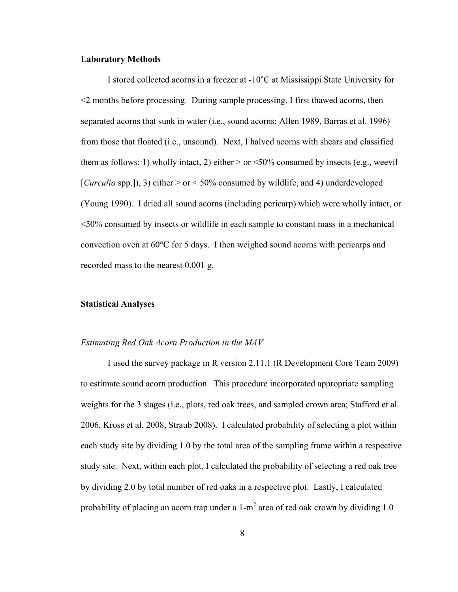#### **Laboratory Methods**

I stored collected acorns in a freezer at -10˚C at Mississippi State University for <2 months before processing. During sample processing, I first thawed acorns, then separated acorns that sunk in water (i.e., sound acorns; Allen 1989, Barras et al. 1996) from those that floated (i.e., unsound). Next, I halved acorns with shears and classified them as follows: 1) wholly intact, 2) either  $>$  or  $\leq$ 50% consumed by insects (e.g., weevil [*Curculio* spp.]), 3) either  $>$  or  $<$  50% consumed by wildlife, and 4) underdeveloped (Young 1990). I dried all sound acorns (including pericarp) which were wholly intact, or <50% consumed by insects or wildlife in each sample to constant mass in a mechanical convection oven at  $60^{\circ}$ C for 5 days. I then weighed sound acorns with pericarps and recorded mass to the nearest 0.001 g.

### **Statistical Analyses**

#### *Estimating Red Oak Acorn Production in the MAV*

I used the survey package in R version 2.11.1 (R Development Core Team 2009) to estimate sound acorn production. This procedure incorporated appropriate sampling weights for the 3 stages (i.e., plots, red oak trees, and sampled crown area; Stafford et al. 2006, Kross et al. 2008, Straub 2008). I calculated probability of selecting a plot within each study site by dividing 1.0 by the total area of the sampling frame within a respective study site. Next, within each plot, I calculated the probability of selecting a red oak tree by dividing 2.0 by total number of red oaks in a respective plot. Lastly, I calculated probability of placing an acorn trap under a  $1-m^2$  area of red oak crown by dividing 1.0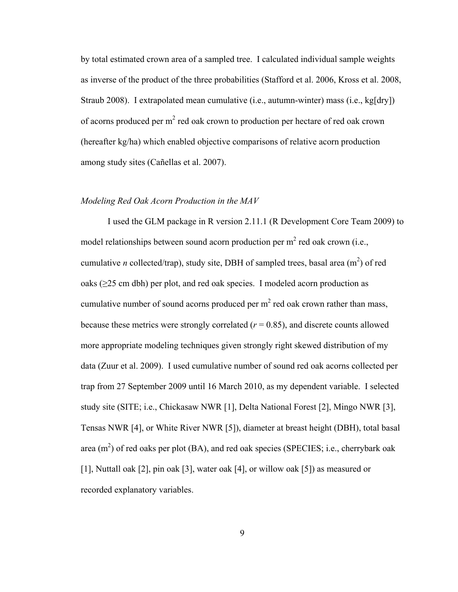by total estimated crown area of a sampled tree. I calculated individual sample weights as inverse of the product of the three probabilities (Stafford et al. 2006, Kross et al. 2008, Straub 2008). I extrapolated mean cumulative (i.e., autumn-winter) mass (i.e., kg[dry]) of acorns produced per  $m^2$  red oak crown to production per hectare of red oak crown (hereafter kg/ha) which enabled objective comparisons of relative acorn production among study sites (Cañellas et al. 2007).

### *Modeling Red Oak Acorn Production in the MAV*

 I used the GLM package in R version 2.11.1 (R Development Core Team 2009) to model relationships between sound acorn production per m<sup>2</sup> red oak crown (i.e., cumulative *n* collected/trap), study site, DBH of sampled trees, basal area  $(m^2)$  of red oaks (≥25 cm dbh) per plot, and red oak species. I modeled acorn production as cumulative number of sound acorns produced per  $m^2$  red oak crown rather than mass, because these metrics were strongly correlated  $(r = 0.85)$ , and discrete counts allowed more appropriate modeling techniques given strongly right skewed distribution of my data (Zuur et al. 2009). I used cumulative number of sound red oak acorns collected per trap from 27 September 2009 until 16 March 2010, as my dependent variable. I selected study site (SITE; i.e., Chickasaw NWR [1], Delta National Forest [2], Mingo NWR [3], Tensas NWR [4], or White River NWR [5]), diameter at breast height (DBH), total basal area  $(m^2)$  of red oaks per plot (BA), and red oak species (SPECIES; i.e., cherrybark oak [1], Nuttall oak [2], pin oak [3], water oak [4], or willow oak [5]) as measured or recorded explanatory variables.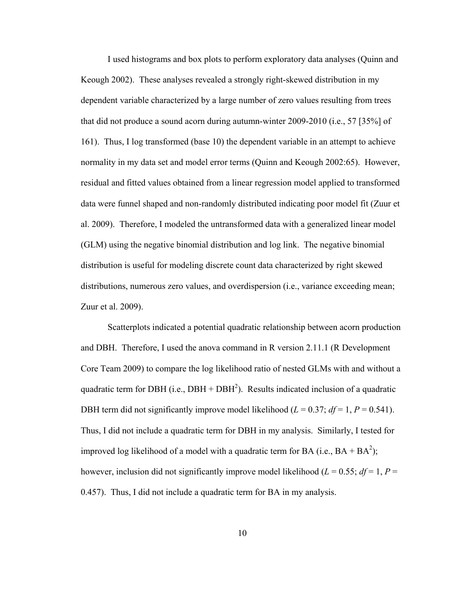I used histograms and box plots to perform exploratory data analyses (Quinn and Keough 2002). These analyses revealed a strongly right-skewed distribution in my dependent variable characterized by a large number of zero values resulting from trees that did not produce a sound acorn during autumn-winter 2009-2010 (i.e., 57 [35%] of 161). Thus, I log transformed (base 10) the dependent variable in an attempt to achieve normality in my data set and model error terms (Quinn and Keough 2002:65). However, residual and fitted values obtained from a linear regression model applied to transformed data were funnel shaped and non-randomly distributed indicating poor model fit (Zuur et al. 2009). Therefore, I modeled the untransformed data with a generalized linear model (GLM) using the negative binomial distribution and log link. The negative binomial distribution is useful for modeling discrete count data characterized by right skewed distributions, numerous zero values, and overdispersion (i.e., variance exceeding mean; Zuur et al. 2009).

Scatterplots indicated a potential quadratic relationship between acorn production and DBH. Therefore, I used the anova command in R version 2.11.1 (R Development Core Team 2009) to compare the log likelihood ratio of nested GLMs with and without a quadratic term for DBH (i.e.,  $DBH + DBH^2$ ). Results indicated inclusion of a quadratic DBH term did not significantly improve model likelihood ( $L = 0.37$ ;  $df = 1$ ,  $P = 0.541$ ). Thus, I did not include a quadratic term for DBH in my analysis. Similarly, I tested for improved log likelihood of a model with a quadratic term for BA (i.e.,  $BA + BA^2$ ); however, inclusion did not significantly improve model likelihood ( $L = 0.55$ ;  $df = 1$ ,  $P =$ 0.457). Thus, I did not include a quadratic term for BA in my analysis.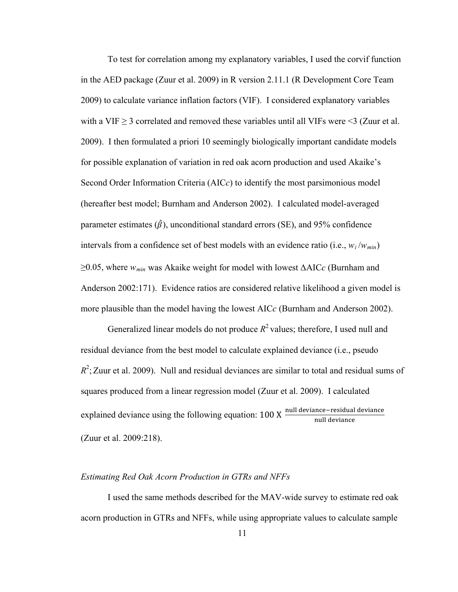To test for correlation among my explanatory variables, I used the corvif function in the AED package (Zuur et al. 2009) in R version 2.11.1 (R Development Core Team 2009) to calculate variance inflation factors (VIF). I considered explanatory variables with a VIF  $\geq$  3 correlated and removed these variables until all VIFs were  $\leq$ 3 (Zuur et al. 2009). I then formulated a priori 10 seemingly biologically important candidate models for possible explanation of variation in red oak acorn production and used Akaike's Second Order Information Criteria (AIC*c*) to identify the most parsimonious model (hereafter best model; Burnham and Anderson 2002). I calculated model-averaged parameter estimates  $(\hat{\beta})$ , unconditional standard errors (SE), and 95% confidence intervals from a confidence set of best models with an evidence ratio (i.e.,  $w_i/w_{min}$ ) ≥0.05, where *wmin* was Akaike weight for model with lowest ΔAIC*c* (Burnham and Anderson 2002:171). Evidence ratios are considered relative likelihood a given model is more plausible than the model having the lowest AIC*c* (Burnham and Anderson 2002).

Generalized linear models do not produce  $R^2$  values; therefore, I used null and residual deviance from the best model to calculate explained deviance (i.e., pseudo  $R^2$ ; Zuur et al. 2009). Null and residual deviances are similar to total and residual sums of squares produced from a linear regression model (Zuur et al. 2009). I calculated explained deviance using the following equation: 100 X null deviance–residual deviance (Zuur et al. 2009:218).

### *Estimating Red Oak Acorn Production in GTRs and NFFs*

I used the same methods described for the MAV-wide survey to estimate red oak acorn production in GTRs and NFFs, while using appropriate values to calculate sample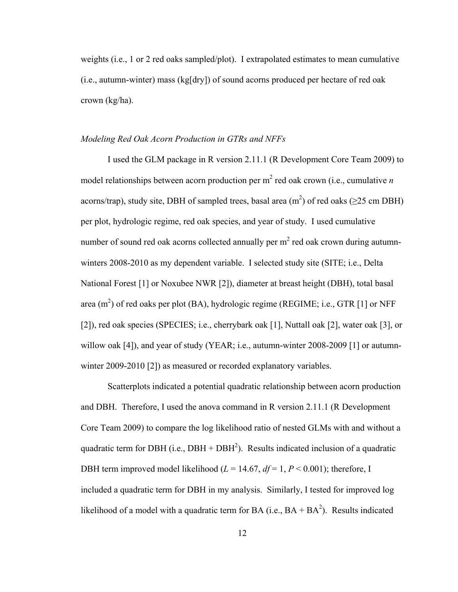weights (i.e., 1 or 2 red oaks sampled/plot). I extrapolated estimates to mean cumulative (i.e., autumn-winter) mass (kg[dry]) of sound acorns produced per hectare of red oak crown (kg/ha).

#### *Modeling Red Oak Acorn Production in GTRs and NFFs*

I used the GLM package in R version 2.11.1 (R Development Core Team 2009) to model relationships between acorn production per m<sup>2</sup> red oak crown (i.e., cumulative *n* acorns/trap), study site, DBH of sampled trees, basal area (m<sup>2</sup>) of red oaks ( $\geq$ 25 cm DBH) per plot, hydrologic regime, red oak species, and year of study. I used cumulative number of sound red oak acorns collected annually per  $\mathrm{m}^{2}$  red oak crown during autumnwinters 2008-2010 as my dependent variable. I selected study site (SITE; i.e., Delta National Forest [1] or Noxubee NWR [2]), diameter at breast height (DBH), total basal area (m<sup>2</sup>) of red oaks per plot (BA), hydrologic regime (REGIME; i.e., GTR [1] or NFF [2]), red oak species (SPECIES; i.e., cherrybark oak [1], Nuttall oak [2], water oak [3], or willow oak [4]), and year of study (YEAR; i.e., autumn-winter 2008-2009 [1] or autumnwinter 2009-2010 [2]) as measured or recorded explanatory variables.

Scatterplots indicated a potential quadratic relationship between acorn production and DBH. Therefore, I used the anova command in R version 2.11.1 (R Development Core Team 2009) to compare the log likelihood ratio of nested GLMs with and without a quadratic term for DBH (i.e.,  $DBH + DBH^2$ ). Results indicated inclusion of a quadratic DBH term improved model likelihood  $(L = 14.67, df = 1, P < 0.001)$ ; therefore, I included a quadratic term for DBH in my analysis. Similarly, I tested for improved log likelihood of a model with a quadratic term for BA (i.e.,  $BA + BA^2$ ). Results indicated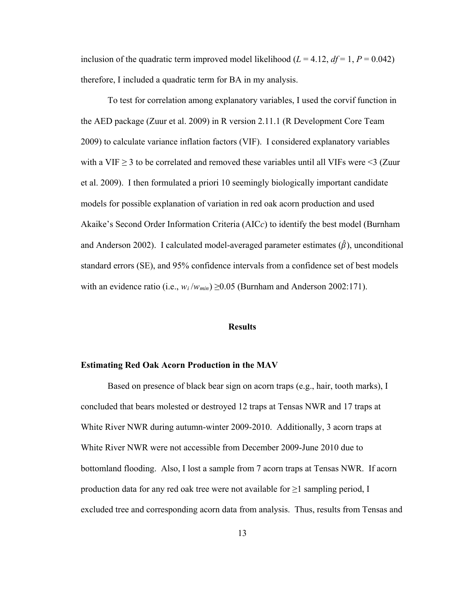inclusion of the quadratic term improved model likelihood ( $L = 4.12$ ,  $df = 1$ ,  $P = 0.042$ ) therefore, I included a quadratic term for BA in my analysis.

To test for correlation among explanatory variables, I used the corvif function in the AED package (Zuur et al. 2009) in R version 2.11.1 (R Development Core Team 2009) to calculate variance inflation factors (VIF). I considered explanatory variables with a VIF  $\geq$  3 to be correlated and removed these variables until all VIFs were  $\leq$  (Zuur et al. 2009). I then formulated a priori 10 seemingly biologically important candidate models for possible explanation of variation in red oak acorn production and used Akaike's Second Order Information Criteria (AIC*c*) to identify the best model (Burnham and Anderson 2002). I calculated model-averaged parameter estimates  $(\hat{\beta})$ , unconditional standard errors (SE), and 95% confidence intervals from a confidence set of best models with an evidence ratio (i.e.,  $w_i/w_{min} \ge 0.05$  (Burnham and Anderson 2002:171).

### **Results**

#### **Estimating Red Oak Acorn Production in the MAV**

 Based on presence of black bear sign on acorn traps (e.g., hair, tooth marks), I concluded that bears molested or destroyed 12 traps at Tensas NWR and 17 traps at White River NWR during autumn-winter 2009-2010. Additionally, 3 acorn traps at White River NWR were not accessible from December 2009-June 2010 due to bottomland flooding. Also, I lost a sample from 7 acorn traps at Tensas NWR. If acorn production data for any red oak tree were not available for  $\geq 1$  sampling period, I excluded tree and corresponding acorn data from analysis. Thus, results from Tensas and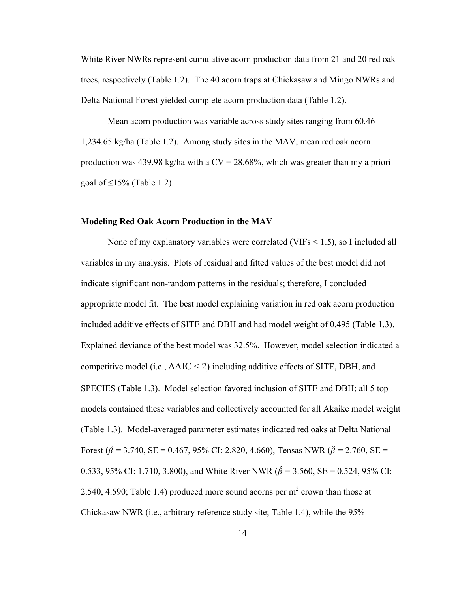White River NWRs represent cumulative acorn production data from 21 and 20 red oak trees, respectively (Table 1.2). The 40 acorn traps at Chickasaw and Mingo NWRs and Delta National Forest yielded complete acorn production data (Table 1.2).

 Mean acorn production was variable across study sites ranging from 60.46- 1,234.65 kg/ha (Table 1.2). Among study sites in the MAV, mean red oak acorn production was 439.98 kg/ha with a  $CV = 28.68\%$ , which was greater than my a priori goal of  $\leq$ 15% (Table 1.2).

#### **Modeling Red Oak Acorn Production in the MAV**

None of my explanatory variables were correlated (VIFs < 1.5), so I included all variables in my analysis. Plots of residual and fitted values of the best model did not indicate significant non-random patterns in the residuals; therefore, I concluded appropriate model fit. The best model explaining variation in red oak acorn production included additive effects of SITE and DBH and had model weight of 0.495 (Table 1.3). Explained deviance of the best model was 32.5%. However, model selection indicated a competitive model (i.e.,  $\Delta AIC \leq 2$ ) including additive effects of SITE, DBH, and SPECIES (Table 1.3). Model selection favored inclusion of SITE and DBH; all 5 top models contained these variables and collectively accounted for all Akaike model weight (Table 1.3). Model-averaged parameter estimates indicated red oaks at Delta National Forest ( $\hat{\beta}$  = 3.740, SE = 0.467, 95% CI: 2.820, 4.660), Tensas NWR ( $\hat{\beta}$  = 2.760, SE = 0.533, 95% CI: 1.710, 3.800), and White River NWR ( $\hat{\beta} = 3.560$ , SE = 0.524, 95% CI: 2.540, 4.590; Table 1.4) produced more sound acorns per  $m^2$  crown than those at Chickasaw NWR (i.e., arbitrary reference study site; Table 1.4), while the 95%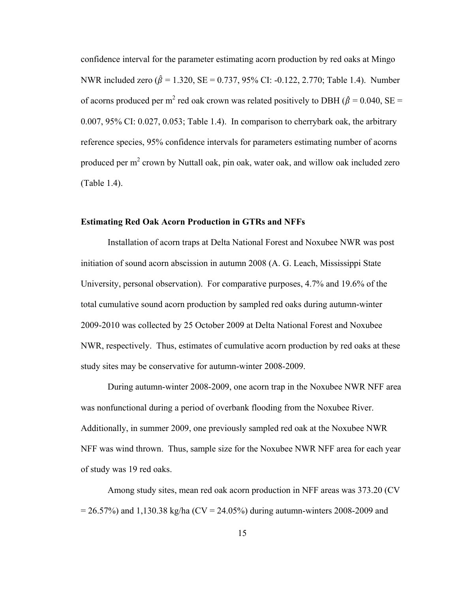confidence interval for the parameter estimating acorn production by red oaks at Mingo NWR included zero ( $\hat{\beta} = 1.320$ , SE = 0.737, 95% CI: -0.122, 2.770; Table 1.4). Number of acorns produced per m<sup>2</sup> red oak crown was related positively to DBH ( $\hat{\beta} = 0.040$ , SE = 0.007, 95% CI: 0.027, 0.053; Table 1.4).In comparison to cherrybark oak, the arbitrary reference species, 95% confidence intervals for parameters estimating number of acorns produced per m<sup>2</sup> crown by Nuttall oak, pin oak, water oak, and willow oak included zero (Table 1.4).

#### **Estimating Red Oak Acorn Production in GTRs and NFFs**

 Installation of acorn traps at Delta National Forest and Noxubee NWR was post initiation of sound acorn abscission in autumn 2008 (A. G. Leach, Mississippi State University, personal observation). For comparative purposes, 4.7% and 19.6% of the total cumulative sound acorn production by sampled red oaks during autumn-winter 2009-2010 was collected by 25 October 2009 at Delta National Forest and Noxubee NWR, respectively. Thus, estimates of cumulative acorn production by red oaks at these study sites may be conservative for autumn-winter 2008-2009.

During autumn-winter 2008-2009, one acorn trap in the Noxubee NWR NFF area was nonfunctional during a period of overbank flooding from the Noxubee River. Additionally, in summer 2009, one previously sampled red oak at the Noxubee NWR NFF was wind thrown. Thus, sample size for the Noxubee NWR NFF area for each year of study was 19 red oaks.

Among study sites, mean red oak acorn production in NFF areas was 373.20 (CV  $= 26.57\%$ ) and 1,130.38 kg/ha (CV = 24.05%) during autumn-winters 2008-2009 and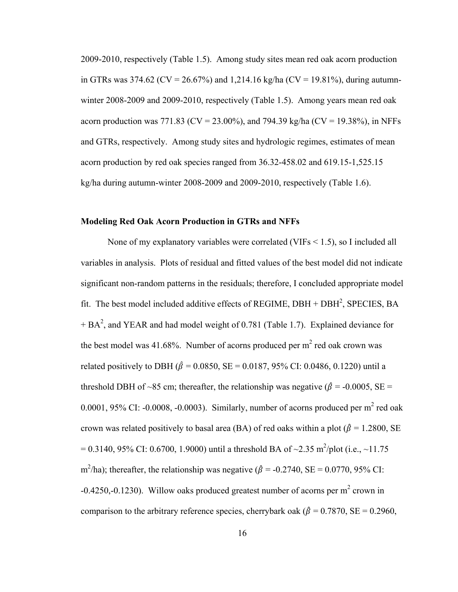2009-2010, respectively (Table 1.5). Among study sites mean red oak acorn production in GTRs was 374.62 (CV = 26.67%) and 1,214.16 kg/ha (CV = 19.81%), during autumnwinter 2008-2009 and 2009-2010, respectively (Table 1.5). Among years mean red oak acorn production was 771.83 (CV = 23.00%), and 794.39 kg/ha (CV = 19.38%), in NFFs and GTRs, respectively. Among study sites and hydrologic regimes, estimates of mean acorn production by red oak species ranged from 36.32-458.02 and 619.15-1,525.15 kg/ha during autumn-winter 2008-2009 and 2009-2010, respectively (Table 1.6).

#### **Modeling Red Oak Acorn Production in GTRs and NFFs**

None of my explanatory variables were correlated (VIFs < 1.5), so I included all variables in analysis. Plots of residual and fitted values of the best model did not indicate significant non-random patterns in the residuals; therefore, I concluded appropriate model fit. The best model included additive effects of REGIME,  $DBH + DBH^2$ , SPECIES, BA  $+ BA<sup>2</sup>$ , and YEAR and had model weight of 0.781 (Table 1.7). Explained deviance for the best model was 41.68%. Number of acorns produced per  $m^2$  red oak crown was related positively to DBH ( $\hat{\beta} = 0.0850$ , SE = 0.0187, 95% CI: 0.0486, 0.1220) until a threshold DBH of ~85 cm; thereafter, the relationship was negative ( $\hat{\beta} = -0.0005$ , SE = 0.0001, 95% CI: -0.0008, -0.0003). Similarly, number of acorns produced per m<sup>2</sup> red oak crown was related positively to basal area (BA) of red oaks within a plot ( $\hat{\beta} = 1.2800$ , SE = 0.3140, 95% CI: 0.6700, 1.9000) until a threshold BA of ~2.35 m<sup>2</sup>/plot (i.e., ~11.75 m<sup>2</sup>/ha); thereafter, the relationship was negative ( $\hat{\beta}$  = -0.2740, SE = 0.0770, 95% CI: -0.4250,-0.1230). Willow oaks produced greatest number of acorns per  $m^2$  crown in comparison to the arbitrary reference species, cherrybark oak ( $\hat{\beta} = 0.7870$ , SE = 0.2960,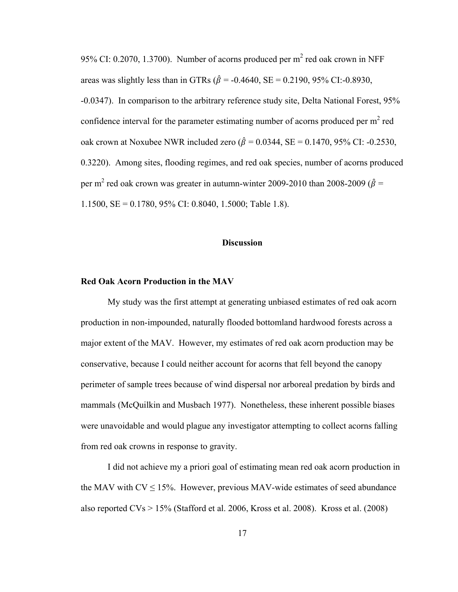95% CI: 0.2070, 1.3700). Number of acorns produced per  $m^2$  red oak crown in NFF areas was slightly less than in GTRs ( $\hat{\beta}$  = -0.4640, SE = 0.2190, 95% CI:-0.8930, -0.0347). In comparison to the arbitrary reference study site, Delta National Forest, 95% confidence interval for the parameter estimating number of acorns produced per  $m^2$  red oak crown at Noxubee NWR included zero ( $\hat{\beta} = 0.0344$ , SE = 0.1470, 95% CI: -0.2530, 0.3220). Among sites, flooding regimes, and red oak species, number of acorns produced per m<sup>2</sup> red oak crown was greater in autumn-winter 2009-2010 than 2008-2009 ( $\hat{\beta}$  = 1.1500, SE = 0.1780, 95% CI: 0.8040, 1.5000; Table 1.8).

#### **Discussion**

#### **Red Oak Acorn Production in the MAV**

My study was the first attempt at generating unbiased estimates of red oak acorn production in non-impounded, naturally flooded bottomland hardwood forests across a major extent of the MAV. However, my estimates of red oak acorn production may be conservative, because I could neither account for acorns that fell beyond the canopy perimeter of sample trees because of wind dispersal nor arboreal predation by birds and mammals (McQuilkin and Musbach 1977). Nonetheless, these inherent possible biases were unavoidable and would plague any investigator attempting to collect acorns falling from red oak crowns in response to gravity.

I did not achieve my a priori goal of estimating mean red oak acorn production in the MAV with  $CV \leq 15\%$ . However, previous MAV-wide estimates of seed abundance also reported CVs > 15% (Stafford et al. 2006, Kross et al. 2008). Kross et al. (2008)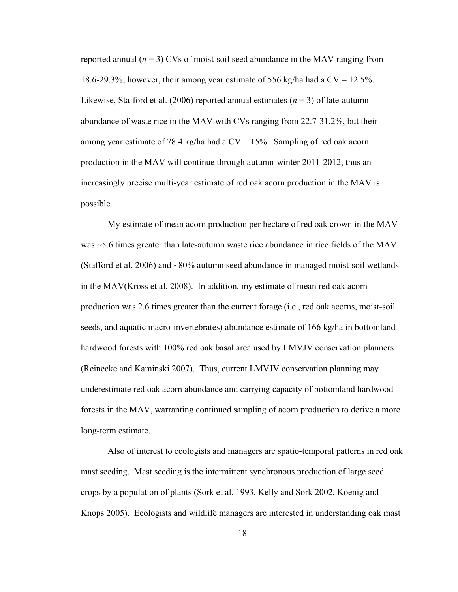reported annual  $(n = 3)$  CVs of moist-soil seed abundance in the MAV ranging from 18.6-29.3%; however, their among year estimate of 556 kg/ha had a CV = 12.5%. Likewise, Stafford et al. (2006) reported annual estimates  $(n = 3)$  of late-autumn abundance of waste rice in the MAV with CVs ranging from 22.7-31.2%, but their among year estimate of 78.4 kg/ha had a CV = 15%. Sampling of red oak acorn production in the MAV will continue through autumn-winter 2011-2012, thus an increasingly precise multi-year estimate of red oak acorn production in the MAV is possible.

My estimate of mean acorn production per hectare of red oak crown in the MAV was  $\sim$  5.6 times greater than late-autumn waste rice abundance in rice fields of the MAV (Stafford et al. 2006) and ~80% autumn seed abundance in managed moist-soil wetlands in the MAV(Kross et al. 2008). In addition, my estimate of mean red oak acorn production was 2.6 times greater than the current forage (i.e., red oak acorns, moist-soil seeds, and aquatic macro-invertebrates) abundance estimate of 166 kg/ha in bottomland hardwood forests with 100% red oak basal area used by LMVJV conservation planners (Reinecke and Kaminski 2007). Thus, current LMVJV conservation planning may underestimate red oak acorn abundance and carrying capacity of bottomland hardwood forests in the MAV, warranting continued sampling of acorn production to derive a more long-term estimate.

Also of interest to ecologists and managers are spatio-temporal patterns in red oak mast seeding. Mast seeding is the intermittent synchronous production of large seed crops by a population of plants (Sork et al. 1993, Kelly and Sork 2002, Koenig and Knops 2005). Ecologists and wildlife managers are interested in understanding oak mast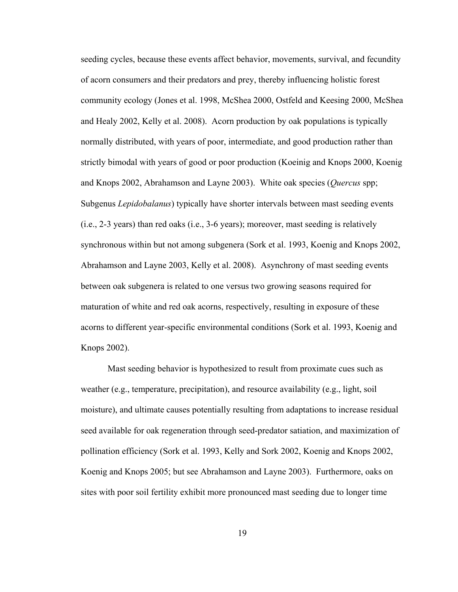seeding cycles, because these events affect behavior, movements, survival, and fecundity of acorn consumers and their predators and prey, thereby influencing holistic forest community ecology (Jones et al. 1998, McShea 2000, Ostfeld and Keesing 2000, McShea and Healy 2002, Kelly et al. 2008). Acorn production by oak populations is typically normally distributed, with years of poor, intermediate, and good production rather than strictly bimodal with years of good or poor production (Koeinig and Knops 2000, Koenig and Knops 2002, Abrahamson and Layne 2003). White oak species (*Quercus* spp; Subgenus *Lepidobalanus*) typically have shorter intervals between mast seeding events (i.e., 2-3 years) than red oaks (i.e., 3-6 years); moreover, mast seeding is relatively synchronous within but not among subgenera (Sork et al. 1993, Koenig and Knops 2002, Abrahamson and Layne 2003, Kelly et al. 2008). Asynchrony of mast seeding events between oak subgenera is related to one versus two growing seasons required for maturation of white and red oak acorns, respectively, resulting in exposure of these acorns to different year-specific environmental conditions (Sork et al. 1993, Koenig and Knops 2002).

Mast seeding behavior is hypothesized to result from proximate cues such as weather (e.g., temperature, precipitation), and resource availability (e.g., light, soil moisture), and ultimate causes potentially resulting from adaptations to increase residual seed available for oak regeneration through seed-predator satiation, and maximization of pollination efficiency (Sork et al. 1993, Kelly and Sork 2002, Koenig and Knops 2002, Koenig and Knops 2005; but see Abrahamson and Layne 2003). Furthermore, oaks on sites with poor soil fertility exhibit more pronounced mast seeding due to longer time

19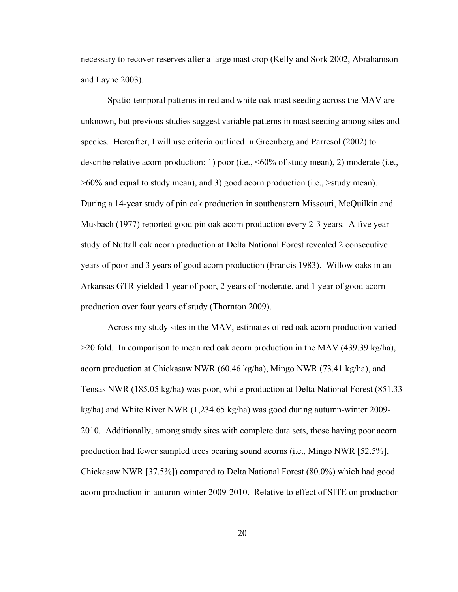necessary to recover reserves after a large mast crop (Kelly and Sork 2002, Abrahamson and Layne 2003).

Spatio-temporal patterns in red and white oak mast seeding across the MAV are unknown, but previous studies suggest variable patterns in mast seeding among sites and species. Hereafter, I will use criteria outlined in Greenberg and Parresol (2002) to describe relative acorn production: 1) poor (i.e., <60% of study mean), 2) moderate (i.e., >60% and equal to study mean), and 3) good acorn production (i.e., >study mean). During a 14-year study of pin oak production in southeastern Missouri, McQuilkin and Musbach (1977) reported good pin oak acorn production every 2-3 years. A five year study of Nuttall oak acorn production at Delta National Forest revealed 2 consecutive years of poor and 3 years of good acorn production (Francis 1983). Willow oaks in an Arkansas GTR yielded 1 year of poor, 2 years of moderate, and 1 year of good acorn production over four years of study (Thornton 2009).

Across my study sites in the MAV, estimates of red oak acorn production varied  $>$ 20 fold. In comparison to mean red oak acorn production in the MAV (439.39 kg/ha), acorn production at Chickasaw NWR (60.46 kg/ha), Mingo NWR (73.41 kg/ha), and Tensas NWR (185.05 kg/ha) was poor, while production at Delta National Forest (851.33 kg/ha) and White River NWR (1,234.65 kg/ha) was good during autumn-winter 2009- 2010. Additionally, among study sites with complete data sets, those having poor acorn production had fewer sampled trees bearing sound acorns (i.e., Mingo NWR [52.5%], Chickasaw NWR [37.5%]) compared to Delta National Forest (80.0%) which had good acorn production in autumn-winter 2009-2010. Relative to effect of SITE on production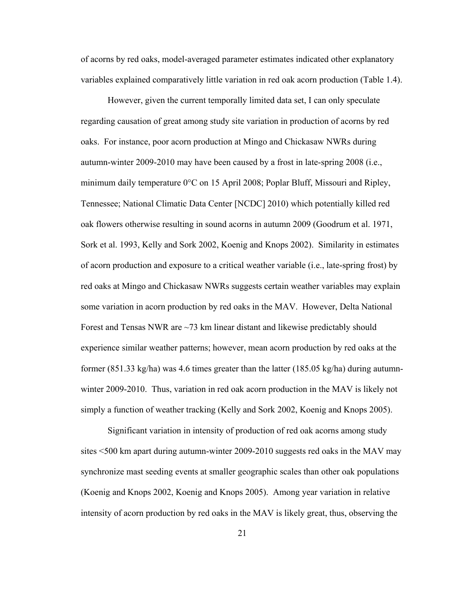of acorns by red oaks, model-averaged parameter estimates indicated other explanatory variables explained comparatively little variation in red oak acorn production (Table 1.4).

However, given the current temporally limited data set, I can only speculate regarding causation of great among study site variation in production of acorns by red oaks. For instance, poor acorn production at Mingo and Chickasaw NWRs during autumn-winter 2009-2010 may have been caused by a frost in late-spring 2008 (i.e., minimum daily temperature  $0^{\circ}$ C on 15 April 2008; Poplar Bluff, Missouri and Ripley, Tennessee; National Climatic Data Center [NCDC] 2010) which potentially killed red oak flowers otherwise resulting in sound acorns in autumn 2009 (Goodrum et al. 1971, Sork et al. 1993, Kelly and Sork 2002, Koenig and Knops 2002). Similarity in estimates of acorn production and exposure to a critical weather variable (i.e., late-spring frost) by red oaks at Mingo and Chickasaw NWRs suggests certain weather variables may explain some variation in acorn production by red oaks in the MAV. However, Delta National Forest and Tensas NWR are  $\sim$ 73 km linear distant and likewise predictably should experience similar weather patterns; however, mean acorn production by red oaks at the former (851.33 kg/ha) was 4.6 times greater than the latter (185.05 kg/ha) during autumnwinter 2009-2010. Thus, variation in red oak acorn production in the MAV is likely not simply a function of weather tracking (Kelly and Sork 2002, Koenig and Knops 2005).

Significant variation in intensity of production of red oak acorns among study sites <500 km apart during autumn-winter 2009-2010 suggests red oaks in the MAV may synchronize mast seeding events at smaller geographic scales than other oak populations (Koenig and Knops 2002, Koenig and Knops 2005). Among year variation in relative intensity of acorn production by red oaks in the MAV is likely great, thus, observing the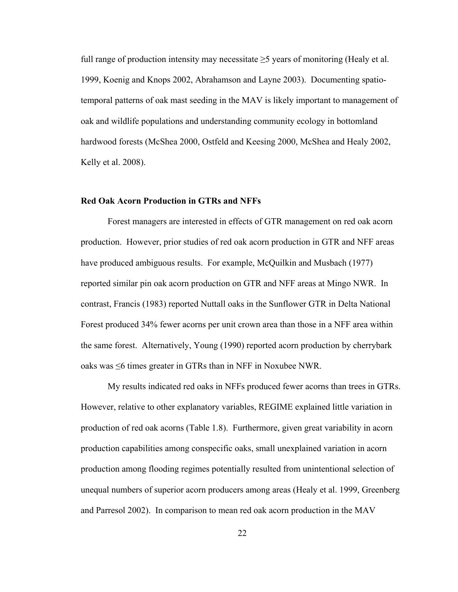full range of production intensity may necessitate  $\geq$ 5 years of monitoring (Healy et al. 1999, Koenig and Knops 2002, Abrahamson and Layne 2003). Documenting spatiotemporal patterns of oak mast seeding in the MAV is likely important to management of oak and wildlife populations and understanding community ecology in bottomland hardwood forests (McShea 2000, Ostfeld and Keesing 2000, McShea and Healy 2002, Kelly et al. 2008).

#### **Red Oak Acorn Production in GTRs and NFFs**

Forest managers are interested in effects of GTR management on red oak acorn production. However, prior studies of red oak acorn production in GTR and NFF areas have produced ambiguous results. For example, McQuilkin and Musbach (1977) reported similar pin oak acorn production on GTR and NFF areas at Mingo NWR. In contrast, Francis (1983) reported Nuttall oaks in the Sunflower GTR in Delta National Forest produced 34% fewer acorns per unit crown area than those in a NFF area within the same forest. Alternatively, Young (1990) reported acorn production by cherrybark oaks was ≤6 times greater in GTRs than in NFF in Noxubee NWR.

My results indicated red oaks in NFFs produced fewer acorns than trees in GTRs. However, relative to other explanatory variables, REGIME explained little variation in production of red oak acorns (Table 1.8). Furthermore, given great variability in acorn production capabilities among conspecific oaks, small unexplained variation in acorn production among flooding regimes potentially resulted from unintentional selection of unequal numbers of superior acorn producers among areas (Healy et al. 1999, Greenberg and Parresol 2002). In comparison to mean red oak acorn production in the MAV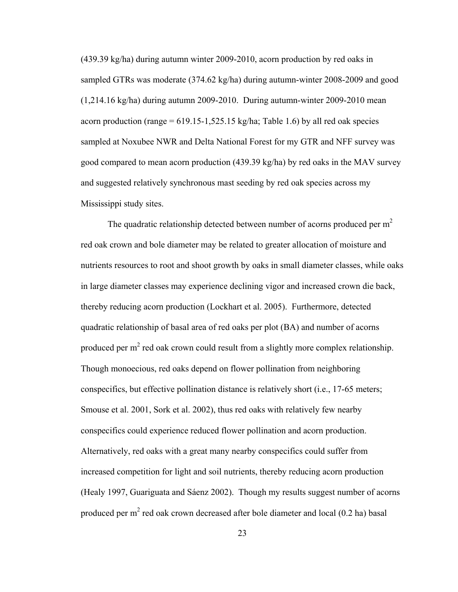(439.39 kg/ha) during autumn winter 2009-2010, acorn production by red oaks in sampled GTRs was moderate (374.62 kg/ha) during autumn-winter 2008-2009 and good (1,214.16 kg/ha) during autumn 2009-2010. During autumn-winter 2009-2010 mean acorn production (range =  $619.15 - 1,525.15$  kg/ha; Table 1.6) by all red oak species sampled at Noxubee NWR and Delta National Forest for my GTR and NFF survey was good compared to mean acorn production (439.39 kg/ha) by red oaks in the MAV survey and suggested relatively synchronous mast seeding by red oak species across my Mississippi study sites.

The quadratic relationship detected between number of acorns produced per  $m<sup>2</sup>$ red oak crown and bole diameter may be related to greater allocation of moisture and nutrients resources to root and shoot growth by oaks in small diameter classes, while oaks in large diameter classes may experience declining vigor and increased crown die back, thereby reducing acorn production (Lockhart et al. 2005). Furthermore, detected quadratic relationship of basal area of red oaks per plot (BA) and number of acorns produced per m<sup>2</sup> red oak crown could result from a slightly more complex relationship. Though monoecious, red oaks depend on flower pollination from neighboring conspecifics, but effective pollination distance is relatively short (i.e., 17-65 meters; Smouse et al. 2001, Sork et al. 2002), thus red oaks with relatively few nearby conspecifics could experience reduced flower pollination and acorn production. Alternatively, red oaks with a great many nearby conspecifics could suffer from increased competition for light and soil nutrients, thereby reducing acorn production (Healy 1997, Guariguata and Sáenz 2002). Though my results suggest number of acorns produced per  $m<sup>2</sup>$  red oak crown decreased after bole diameter and local (0.2 ha) basal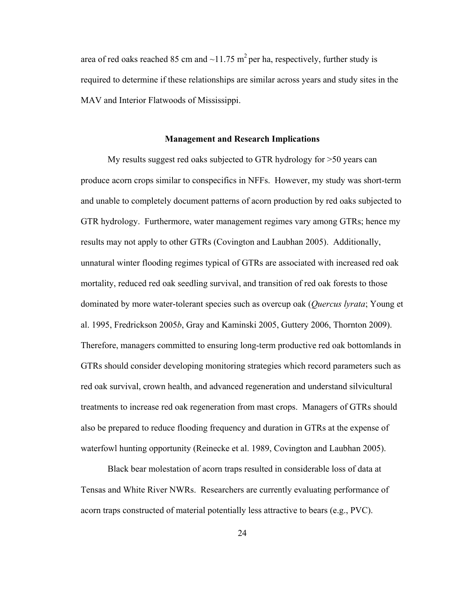area of red oaks reached 85 cm and  $\sim$ 11.75 m<sup>2</sup> per ha, respectively, further study is required to determine if these relationships are similar across years and study sites in the MAV and Interior Flatwoods of Mississippi.

#### **Management and Research Implications**

My results suggest red oaks subjected to GTR hydrology for >50 years can produce acorn crops similar to conspecifics in NFFs. However, my study was short-term and unable to completely document patterns of acorn production by red oaks subjected to GTR hydrology. Furthermore, water management regimes vary among GTRs; hence my results may not apply to other GTRs (Covington and Laubhan 2005). Additionally, unnatural winter flooding regimes typical of GTRs are associated with increased red oak mortality, reduced red oak seedling survival, and transition of red oak forests to those dominated by more water-tolerant species such as overcup oak (*Quercus lyrata*; Young et al. 1995, Fredrickson 2005*b*, Gray and Kaminski 2005, Guttery 2006, Thornton 2009). Therefore, managers committed to ensuring long-term productive red oak bottomlands in GTRs should consider developing monitoring strategies which record parameters such as red oak survival, crown health, and advanced regeneration and understand silvicultural treatments to increase red oak regeneration from mast crops. Managers of GTRs should also be prepared to reduce flooding frequency and duration in GTRs at the expense of waterfowl hunting opportunity (Reinecke et al. 1989, Covington and Laubhan 2005).

Black bear molestation of acorn traps resulted in considerable loss of data at Tensas and White River NWRs. Researchers are currently evaluating performance of acorn traps constructed of material potentially less attractive to bears (e.g., PVC).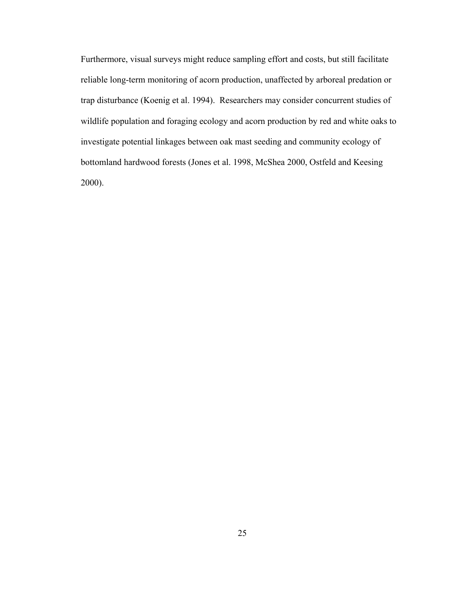Furthermore, visual surveys might reduce sampling effort and costs, but still facilitate reliable long-term monitoring of acorn production, unaffected by arboreal predation or trap disturbance (Koenig et al. 1994). Researchers may consider concurrent studies of wildlife population and foraging ecology and acorn production by red and white oaks to investigate potential linkages between oak mast seeding and community ecology of bottomland hardwood forests (Jones et al. 1998, McShea 2000, Ostfeld and Keesing 2000).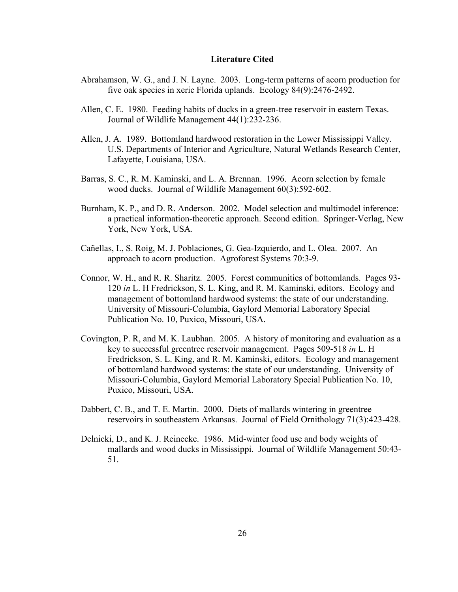## **Literature Cited**

- Abrahamson, W. G., and J. N. Layne. 2003. Long-term patterns of acorn production for five oak species in xeric Florida uplands. Ecology 84(9):2476-2492.
- Allen, C. E. 1980. Feeding habits of ducks in a green-tree reservoir in eastern Texas. Journal of Wildlife Management 44(1):232-236.
- Allen, J. A. 1989. Bottomland hardwood restoration in the Lower Mississippi Valley. U.S. Departments of Interior and Agriculture, Natural Wetlands Research Center, Lafayette, Louisiana, USA.
- Barras, S. C., R. M. Kaminski, and L. A. Brennan. 1996. Acorn selection by female wood ducks. Journal of Wildlife Management 60(3):592-602.
- Burnham, K. P., and D. R. Anderson. 2002. Model selection and multimodel inference: a practical information-theoretic approach. Second edition. Springer-Verlag, New York, New York, USA.
- Cañellas, I., S. Roig, M. J. Poblaciones, G. Gea-Izquierdo, and L. Olea. 2007. An approach to acorn production. Agroforest Systems 70:3-9.
- Connor, W. H., and R. R. Sharitz. 2005. Forest communities of bottomlands. Pages 93- 120 *in* L. H Fredrickson, S. L. King, and R. M. Kaminski, editors. Ecology and management of bottomland hardwood systems: the state of our understanding. University of Missouri-Columbia, Gaylord Memorial Laboratory Special Publication No. 10, Puxico, Missouri, USA.
- Covington, P. R, and M. K. Laubhan. 2005. A history of monitoring and evaluation as a key to successful greentree reservoir management. Pages 509-518 *in* L. H Fredrickson, S. L. King, and R. M. Kaminski, editors. Ecology and management of bottomland hardwood systems: the state of our understanding. University of Missouri-Columbia, Gaylord Memorial Laboratory Special Publication No. 10, Puxico, Missouri, USA.
- Dabbert, C. B., and T. E. Martin. 2000. Diets of mallards wintering in greentree reservoirs in southeastern Arkansas. Journal of Field Ornithology 71(3):423-428.
- Delnicki, D., and K. J. Reinecke. 1986. Mid-winter food use and body weights of mallards and wood ducks in Mississippi. Journal of Wildlife Management 50:43- 51.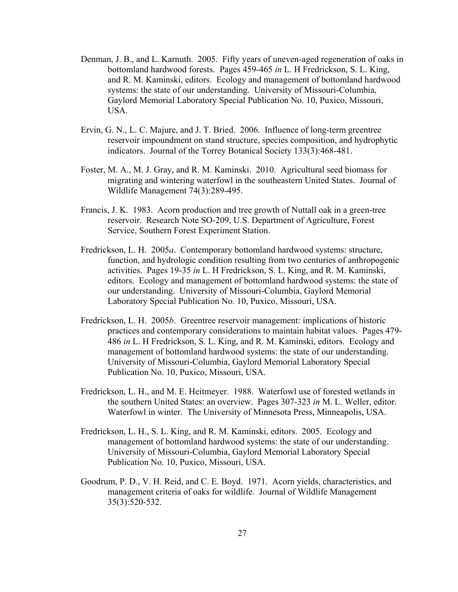- Denman, J. B., and L. Karnuth. 2005. Fifty years of uneven-aged regeneration of oaks in bottomland hardwood forests. Pages 459-465 *in* L. H Fredrickson, S. L. King, and R. M. Kaminski, editors. Ecology and management of bottomland hardwood systems: the state of our understanding. University of Missouri-Columbia, Gaylord Memorial Laboratory Special Publication No. 10, Puxico, Missouri, USA.
- Ervin, G. N., L. C. Majure, and J. T. Bried. 2006. Influence of long-term greentree reservoir impoundment on stand structure, species composition, and hydrophytic indicators. Journal of the Torrey Botanical Society 133(3):468-481.
- Foster, M. A., M. J. Gray, and R. M. Kaminski. 2010. Agricultural seed biomass for migrating and wintering waterfowl in the southeastern United States. Journal of Wildlife Management 74(3):289-495.
- Francis, J. K. 1983. Acorn production and tree growth of Nuttall oak in a green-tree reservoir. Research Note SO-209, U.S. Department of Agriculture, Forest Service, Southern Forest Experiment Station.
- Fredrickson, L. H. 2005*a*. Contemporary bottomland hardwood systems: structure, function, and hydrologic condition resulting from two centuries of anthropogenic activities. Pages 19-35 *in* L. H Fredrickson, S. L. King, and R. M. Kaminski, editors. Ecology and management of bottomland hardwood systems: the state of our understanding. University of Missouri-Columbia, Gaylord Memorial Laboratory Special Publication No. 10, Puxico, Missouri, USA.
- Fredrickson, L. H. 2005*b*. Greentree reservoir management: implications of historic practices and contemporary considerations to maintain habitat values. Pages 479- 486 *in* L. H Fredrickson, S. L. King, and R. M. Kaminski, editors. Ecology and management of bottomland hardwood systems: the state of our understanding. University of Missouri-Columbia, Gaylord Memorial Laboratory Special Publication No. 10, Puxico, Missouri, USA.
- Fredrickson, L. H., and M. E. Heitmeyer. 1988. Waterfowl use of forested wetlands in the southern United States: an overview. Pages 307-323 *in* M. L. Weller, editor. Waterfowl in winter. The University of Minnesota Press, Minneapolis, USA.
- Fredrickson, L. H., S. L. King, and R. M. Kaminski, editors. 2005. Ecology and management of bottomland hardwood systems: the state of our understanding. University of Missouri-Columbia, Gaylord Memorial Laboratory Special Publication No. 10, Puxico, Missouri, USA.
- Goodrum, P. D., V. H. Reid, and C. E. Boyd. 1971. Acorn yields, characteristics, and management criteria of oaks for wildlife. Journal of Wildlife Management 35(3):520-532.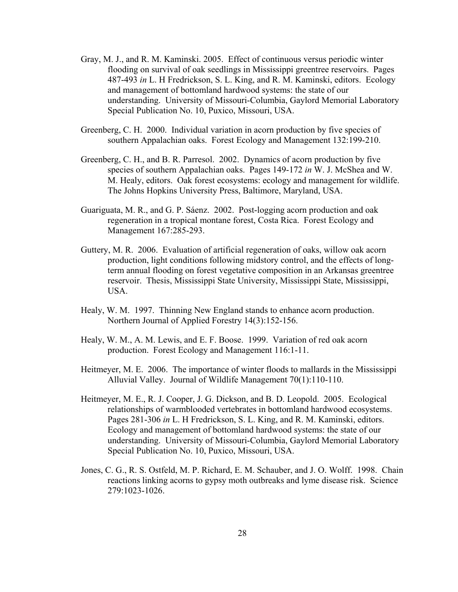- Gray, M. J., and R. M. Kaminski. 2005. Effect of continuous versus periodic winter flooding on survival of oak seedlings in Mississippi greentree reservoirs. Pages 487-493 *in* L. H Fredrickson, S. L. King, and R. M. Kaminski, editors. Ecology and management of bottomland hardwood systems: the state of our understanding. University of Missouri-Columbia, Gaylord Memorial Laboratory Special Publication No. 10, Puxico, Missouri, USA.
- Greenberg, C. H. 2000. Individual variation in acorn production by five species of southern Appalachian oaks. Forest Ecology and Management 132:199-210.
- Greenberg, C. H., and B. R. Parresol. 2002. Dynamics of acorn production by five species of southern Appalachian oaks. Pages 149-172 *in* W. J. McShea and W. M. Healy, editors. Oak forest ecosystems: ecology and management for wildlife. The Johns Hopkins University Press, Baltimore, Maryland, USA.
- Guariguata, M. R., and G. P. Sáenz. 2002. Post-logging acorn production and oak regeneration in a tropical montane forest, Costa Rica. Forest Ecology and Management 167:285-293.
- Guttery, M. R. 2006. Evaluation of artificial regeneration of oaks, willow oak acorn production, light conditions following midstory control, and the effects of longterm annual flooding on forest vegetative composition in an Arkansas greentree reservoir. Thesis, Mississippi State University, Mississippi State, Mississippi, USA.
- Healy, W. M. 1997. Thinning New England stands to enhance acorn production. Northern Journal of Applied Forestry 14(3):152-156.
- Healy, W. M., A. M. Lewis, and E. F. Boose. 1999. Variation of red oak acorn production. Forest Ecology and Management 116:1-11.
- Heitmeyer, M. E. 2006. The importance of winter floods to mallards in the Mississippi Alluvial Valley. Journal of Wildlife Management 70(1):110-110.
- Heitmeyer, M. E., R. J. Cooper, J. G. Dickson, and B. D. Leopold. 2005. Ecological relationships of warmblooded vertebrates in bottomland hardwood ecosystems. Pages 281-306 *in* L. H Fredrickson, S. L. King, and R. M. Kaminski, editors. Ecology and management of bottomland hardwood systems: the state of our understanding. University of Missouri-Columbia, Gaylord Memorial Laboratory Special Publication No. 10, Puxico, Missouri, USA.
- Jones, C. G., R. S. Ostfeld, M. P. Richard, E. M. Schauber, and J. O. Wolff. 1998. Chain reactions linking acorns to gypsy moth outbreaks and lyme disease risk. Science 279:1023-1026.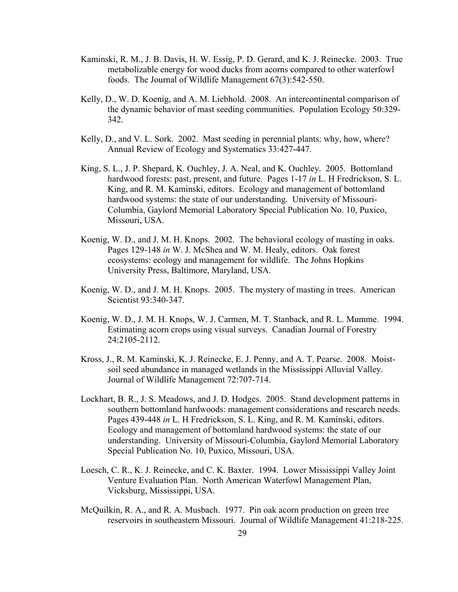- Kaminski, R. M., J. B. Davis, H. W. Essig, P. D. Gerard, and K. J. Reinecke. 2003. True metabolizable energy for wood ducks from acorns compared to other waterfowl foods. The Journal of Wildlife Management 67(3):542-550.
- Kelly, D., W. D. Koenig, and A. M. Liebhold. 2008. An intercontinental comparison of the dynamic behavior of mast seeding communities. Population Ecology 50:329- 342.
- Kelly, D., and V. L. Sork. 2002. Mast seeding in perennial plants: why, how, where? Annual Review of Ecology and Systematics 33:427-447.
- King, S. L., J. P. Shepard, K. Ouchley, J. A. Neal, and K. Ouchley. 2005. Bottomland hardwood forests: past, present, and future. Pages 1-17 *in* L. H Fredrickson, S. L. King, and R. M. Kaminski, editors. Ecology and management of bottomland hardwood systems: the state of our understanding. University of Missouri-Columbia, Gaylord Memorial Laboratory Special Publication No. 10, Puxico, Missouri, USA.
- Koenig, W. D., and J. M. H. Knops. 2002. The behavioral ecology of masting in oaks. Pages 129-148 *in* W. J. McShea and W. M. Healy, editors. Oak forest ecosystems: ecology and management for wildlife. The Johns Hopkins University Press, Baltimore, Maryland, USA.
- Koenig, W. D., and J. M. H. Knops. 2005. The mystery of masting in trees. American Scientist 93:340-347.
- Koenig, W. D., J. M. H. Knops, W. J. Carmen, M. T. Stanback, and R. L. Mumme. 1994. Estimating acorn crops using visual surveys. Canadian Journal of Forestry 24:2105-2112.
- Kross, J., R. M. Kaminski, K. J. Reinecke, E. J. Penny, and A. T. Pearse. 2008. Moistsoil seed abundance in managed wetlands in the Mississippi Alluvial Valley. Journal of Wildlife Management 72:707-714.
- Lockhart, B. R., J. S. Meadows, and J. D. Hodges. 2005. Stand development patterns in southern bottomland hardwoods: management considerations and research needs. Pages 439-448 *in* L. H Fredrickson, S. L. King, and R. M. Kaminski, editors. Ecology and management of bottomland hardwood systems: the state of our understanding. University of Missouri-Columbia, Gaylord Memorial Laboratory Special Publication No. 10, Puxico, Missouri, USA.
- Loesch, C. R., K. J. Reinecke, and C. K. Baxter. 1994. Lower Mississippi Valley Joint Venture Evaluation Plan. North American Waterfowl Management Plan, Vicksburg, Mississippi, USA.
- McQuilkin, R. A., and R. A. Musbach. 1977. Pin oak acorn production on green tree reservoirs in southeastern Missouri. Journal of Wildlife Management 41:218-225.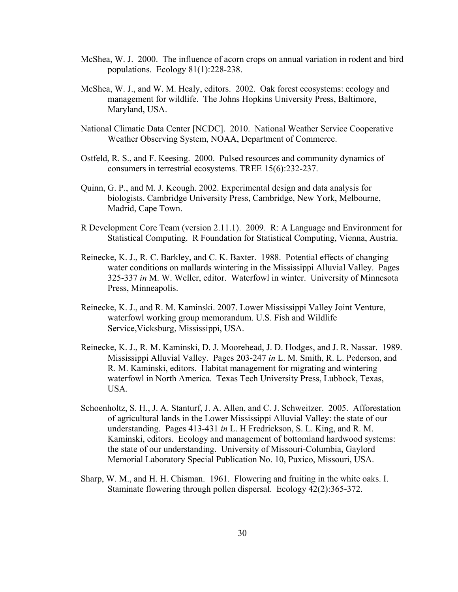- McShea, W. J. 2000. The influence of acorn crops on annual variation in rodent and bird populations. Ecology 81(1):228-238.
- McShea, W. J., and W. M. Healy, editors. 2002. Oak forest ecosystems: ecology and management for wildlife. The Johns Hopkins University Press, Baltimore, Maryland, USA.
- National Climatic Data Center [NCDC]. 2010. National Weather Service Cooperative Weather Observing System, NOAA, Department of Commerce.
- Ostfeld, R. S., and F. Keesing. 2000. Pulsed resources and community dynamics of consumers in terrestrial ecosystems. TREE 15(6):232-237.
- Quinn, G. P., and M. J. Keough. 2002. Experimental design and data analysis for biologists. Cambridge University Press, Cambridge, New York, Melbourne, Madrid, Cape Town.
- R Development Core Team (version 2.11.1). 2009. R: A Language and Environment for Statistical Computing. R Foundation for Statistical Computing, Vienna, Austria.
- Reinecke, K. J., R. C. Barkley, and C. K. Baxter. 1988. Potential effects of changing water conditions on mallards wintering in the Mississippi Alluvial Valley. Pages 325-337 *in* M. W. Weller, editor. Waterfowl in winter. University of Minnesota Press, Minneapolis.
- Reinecke, K. J., and R. M. Kaminski. 2007. Lower Mississippi Valley Joint Venture, waterfowl working group memorandum. U.S. Fish and Wildlife Service,Vicksburg, Mississippi, USA.
- Reinecke, K. J., R. M. Kaminski, D. J. Moorehead, J. D. Hodges, and J. R. Nassar. 1989. Mississippi Alluvial Valley. Pages 203-247 *in* L. M. Smith, R. L. Pederson, and R. M. Kaminski, editors. Habitat management for migrating and wintering waterfowl in North America. Texas Tech University Press, Lubbock, Texas, USA.
- Schoenholtz, S. H., J. A. Stanturf, J. A. Allen, and C. J. Schweitzer. 2005. Afforestation of agricultural lands in the Lower Mississippi Alluvial Valley: the state of our understanding. Pages 413-431 *in* L. H Fredrickson, S. L. King, and R. M. Kaminski, editors. Ecology and management of bottomland hardwood systems: the state of our understanding. University of Missouri-Columbia, Gaylord Memorial Laboratory Special Publication No. 10, Puxico, Missouri, USA.
- Sharp, W. M., and H. H. Chisman. 1961. Flowering and fruiting in the white oaks. I. Staminate flowering through pollen dispersal. Ecology 42(2):365-372.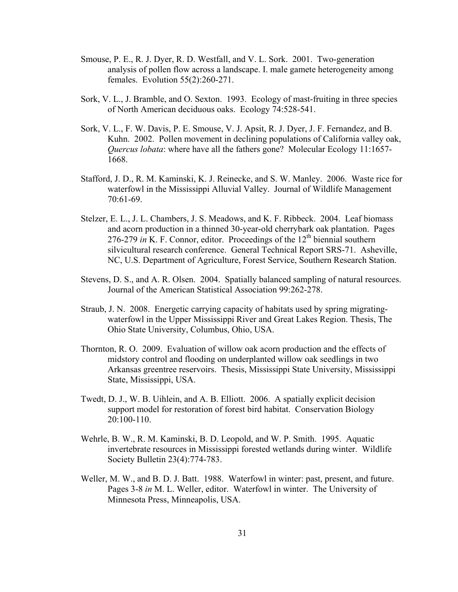- Smouse, P. E., R. J. Dyer, R. D. Westfall, and V. L. Sork. 2001. Two-generation analysis of pollen flow across a landscape. I. male gamete heterogeneity among females. Evolution 55(2):260-271.
- Sork, V. L., J. Bramble, and O. Sexton. 1993. Ecology of mast-fruiting in three species of North American deciduous oaks. Ecology 74:528-541.
- Sork, V. L., F. W. Davis, P. E. Smouse, V. J. Apsit, R. J. Dyer, J. F. Fernandez, and B. Kuhn. 2002. Pollen movement in declining populations of California valley oak, *Quercus lobata*: where have all the fathers gone? Molecular Ecology 11:1657- 1668.
- Stafford, J. D., R. M. Kaminski, K. J. Reinecke, and S. W. Manley. 2006. Waste rice for waterfowl in the Mississippi Alluvial Valley. Journal of Wildlife Management 70:61-69.
- Stelzer, E. L., J. L. Chambers, J. S. Meadows, and K. F. Ribbeck. 2004. Leaf biomass and acorn production in a thinned 30-year-old cherrybark oak plantation. Pages 276-279 *in* K. F. Connor, editor. Proceedings of the  $12<sup>th</sup>$  biennial southern silvicultural research conference. General Technical Report SRS-71. Asheville, NC, U.S. Department of Agriculture, Forest Service, Southern Research Station.
- Stevens, D. S., and A. R. Olsen. 2004. Spatially balanced sampling of natural resources. Journal of the American Statistical Association 99:262-278.
- Straub, J. N. 2008. Energetic carrying capacity of habitats used by spring migratingwaterfowl in the Upper Mississippi River and Great Lakes Region. Thesis, The Ohio State University, Columbus, Ohio, USA.
- Thornton, R. O. 2009. Evaluation of willow oak acorn production and the effects of midstory control and flooding on underplanted willow oak seedlings in two Arkansas greentree reservoirs. Thesis, Mississippi State University, Mississippi State, Mississippi, USA.
- Twedt, D. J., W. B. Uihlein, and A. B. Elliott. 2006. A spatially explicit decision support model for restoration of forest bird habitat. Conservation Biology 20:100-110.
- Wehrle, B. W., R. M. Kaminski, B. D. Leopold, and W. P. Smith. 1995. Aquatic invertebrate resources in Mississippi forested wetlands during winter. Wildlife Society Bulletin 23(4):774-783.
- Weller, M. W., and B. D. J. Batt. 1988. Waterfowl in winter: past, present, and future. Pages 3-8 *in* M. L. Weller, editor. Waterfowl in winter. The University of Minnesota Press, Minneapolis, USA.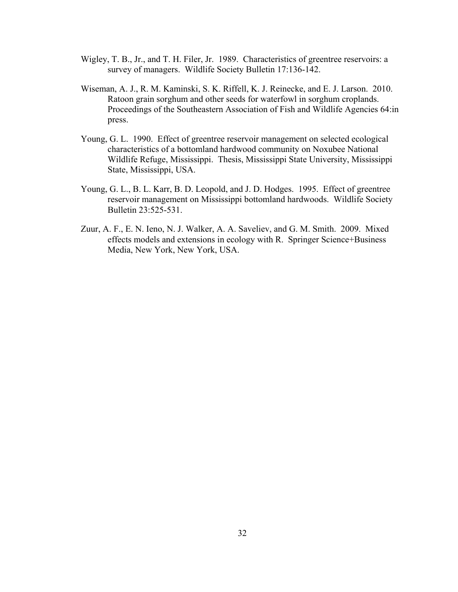- Wigley, T. B., Jr., and T. H. Filer, Jr. 1989. Characteristics of greentree reservoirs: a survey of managers. Wildlife Society Bulletin 17:136-142.
- Wiseman, A. J., R. M. Kaminski, S. K. Riffell, K. J. Reinecke, and E. J. Larson. 2010. Ratoon grain sorghum and other seeds for waterfowl in sorghum croplands. Proceedings of the Southeastern Association of Fish and Wildlife Agencies 64:in press.
- Young, G. L. 1990. Effect of greentree reservoir management on selected ecological characteristics of a bottomland hardwood community on Noxubee National Wildlife Refuge, Mississippi. Thesis, Mississippi State University, Mississippi State, Mississippi, USA.
- Young, G. L., B. L. Karr, B. D. Leopold, and J. D. Hodges. 1995. Effect of greentree reservoir management on Mississippi bottomland hardwoods. Wildlife Society Bulletin 23:525-531.
- Zuur, A. F., E. N. Ieno, N. J. Walker, A. A. Saveliev, and G. M. Smith. 2009. Mixed effects models and extensions in ecology with R. Springer Science+Business Media, New York, New York, USA.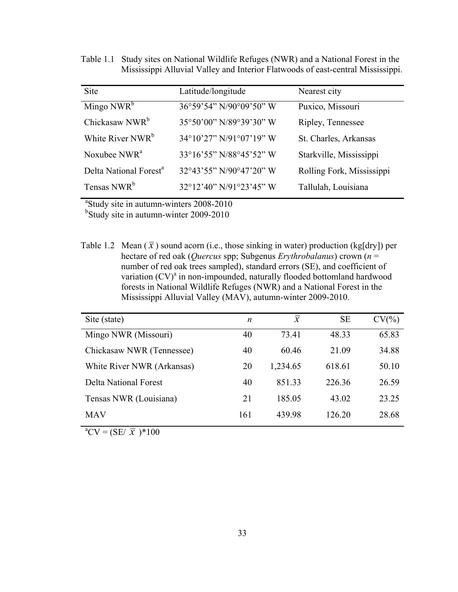Table 1.1 Study sites on National Wildlife Refuges (NWR) and a National Forest in the Mississippi Alluvial Valley and Interior Flatwoods of east-central Mississippi.

| <b>Site</b>                        | Latitude/longitude                           | Nearest city              |
|------------------------------------|----------------------------------------------|---------------------------|
| Mingo $NWR^b$                      | 36°59'54" N/90°09'50" W                      | Puxico, Missouri          |
| Chickasaw NWR <sup>b</sup>         | 35°50'00" N/89°39'30" W                      | Ripley, Tennessee         |
| White River NWR <sup>b</sup>       | $34^{\circ}10'27''$ N/91 $^{\circ}07'19''$ W | St. Charles, Arkansas     |
| Noxubee NWR <sup>a</sup>           | 33°16'55" N/88°45'52" W                      | Starkville, Mississippi   |
| Delta National Forest <sup>a</sup> | $32^{\circ}43'55''$ N/90 $^{\circ}47'20''$ W | Rolling Fork, Mississippi |
| Tensas NWR <sup>b</sup>            | 32°12'40" N/91°23'45" W                      | Tallulah, Louisiana       |

<sup>a</sup>Study site in autumn-winters 2008-2010

<sup>b</sup>Study site in autumn-winter 2009-2010

Table 1.2 Mean  $(\bar{x})$  sound acorn (i.e., those sinking in water) production (kg[dry]) per hectare of red oak (*Quercus* spp; Subgenus *Erythrobalanus*) crown (*n* = number of red oak trees sampled), standard errors (SE), and coefficient of variation (CV)<sup>a</sup> in non-impounded, naturally flooded bottomland hardwood forests in National Wildlife Refuges (NWR) and a National Forest in the Mississippi Alluvial Valley (MAV), autumn-winter 2009-2010.

| Site (state)               | $\boldsymbol{n}$ | $\mathcal{X}$ | <b>SE</b> | $CV(\% )$ |
|----------------------------|------------------|---------------|-----------|-----------|
| Mingo NWR (Missouri)       | 40               | 73.41         | 48.33     | 65.83     |
| Chickasaw NWR (Tennessee)  | 40               | 60.46         | 21.09     | 34.88     |
| White River NWR (Arkansas) | 20               | 1,234.65      | 618.61    | 50.10     |
| Delta National Forest      | 40               | 851.33        | 226.36    | 26.59     |
| Tensas NWR (Louisiana)     | 21               | 185.05        | 43.02     | 23.25     |
| <b>MAV</b>                 | 161              | 439.98        | 126.20    | 28.68     |

 ${}^{a}CV = (SE/\bar{x}) * 100$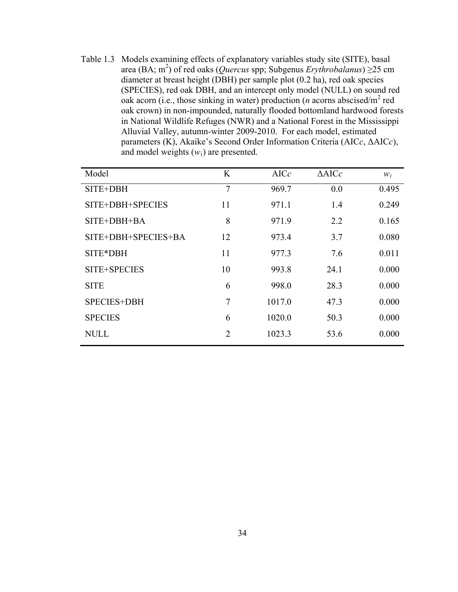Table 1.3 Models examining effects of explanatory variables study site (SITE), basal area (BA; m<sup>2</sup>) of red oaks (*Quercus* spp; Subgenus *Erythrobalanus*) ≥25 cm diameter at breast height (DBH) per sample plot (0.2 ha), red oak species (SPECIES), red oak DBH, and an intercept only model (NULL) on sound red oak acorn (i.e., those sinking in water) production ( $n$  acorns abscised/ $m^2$  red oak crown) in non-impounded, naturally flooded bottomland hardwood forests in National Wildlife Refuges (NWR) and a National Forest in the Mississippi Alluvial Valley, autumn-winter 2009-2010. For each model, estimated parameters (K), Akaike's Second Order Information Criteria (AIC*c*, ΔAIC*c*), and model weights  $(w_i)$  are presented.

| Model               | K  | AICc   | $\triangle$ AICc | $W_i$ |
|---------------------|----|--------|------------------|-------|
| SITE+DBH            | 7  | 969.7  | 0.0              | 0.495 |
| SITE+DBH+SPECIES    | 11 | 971.1  | 1.4              | 0.249 |
| SITE+DBH+BA         | 8  | 971.9  | 2.2              | 0.165 |
| SITE+DBH+SPECIES+BA | 12 | 973.4  | 3.7              | 0.080 |
| SITE*DBH            | 11 | 977.3  | 7.6              | 0.011 |
| SITE+SPECIES        | 10 | 993.8  | 24.1             | 0.000 |
| <b>SITE</b>         | 6  | 998.0  | 28.3             | 0.000 |
| <b>SPECIES+DBH</b>  | 7  | 1017.0 | 47.3             | 0.000 |
| <b>SPECIES</b>      | 6  | 1020.0 | 50.3             | 0.000 |
| <b>NULL</b>         | 2  | 1023.3 | 53.6             | 0.000 |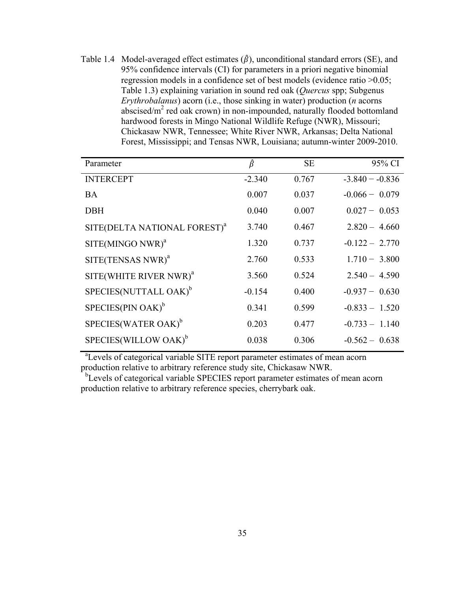Table 1.4 Model-averaged effect estimates  $(\hat{\beta})$ , unconditional standard errors (SE), and 95% confidence intervals (CI) for parameters in a priori negative binomial regression models in a confidence set of best models (evidence ratio >0.05; Table 1.3) explaining variation in sound red oak (*Quercus* spp; Subgenus *Erythrobalanus*) acorn (i.e., those sinking in water) production (*n* acorns abscised/m<sup>2</sup> red oak crown) in non-impounded, naturally flooded bottomland hardwood forests in Mingo National Wildlife Refuge (NWR), Missouri; Chickasaw NWR, Tennessee; White River NWR, Arkansas; Delta National Forest, Mississippi; and Tensas NWR, Louisiana; autumn-winter 2009-2010.

| Parameter                                | $\hat{\beta}$ | <b>SE</b> | 95% CI            |
|------------------------------------------|---------------|-----------|-------------------|
| <b>INTERCEPT</b>                         | $-2.340$      | 0.767     | $-3.840 - -0.836$ |
| <b>BA</b>                                | 0.007         | 0.037     | $-0.066 - 0.079$  |
| <b>DBH</b>                               | 0.040         | 0.007     | $0.027 - 0.053$   |
| SITE(DELTA NATIONAL FOREST) <sup>a</sup> | 3.740         | 0.467     | $2.820 - 4.660$   |
| $SITE(MINGO NWR)^{a}$                    | 1.320         | 0.737     | $-0.122 - 2.770$  |
| $SITE(TENSAS NWR)^{a}$                   | 2.760         | 0.533     | $1.710 - 3.800$   |
| SITE(WHITE RIVER NWR) <sup>a</sup>       | 3.560         | 0.524     | $2.540 - 4.590$   |
| SPECIES(NUTTALL OAK) <sup>b</sup>        | $-0.154$      | 0.400     | $-0.937 - 0.630$  |
| $SPECIES(PIN OAK)^b$                     | 0.341         | 0.599     | $-0.833 - 1.520$  |
| SPECIES(WATER OAK) <sup>b</sup>          | 0.203         | 0.477     | $-0.733 - 1.140$  |
| SPECIES(WILLOW OAK) <sup>b</sup>         | 0.038         | 0.306     | $-0.562 - 0.638$  |

 a Levels of categorical variable SITE report parameter estimates of mean acorn production relative to arbitrary reference study site, Chickasaw NWR.

<sup>b</sup>Levels of categorical variable SPECIES report parameter estimates of mean acorn production relative to arbitrary reference species, cherrybark oak.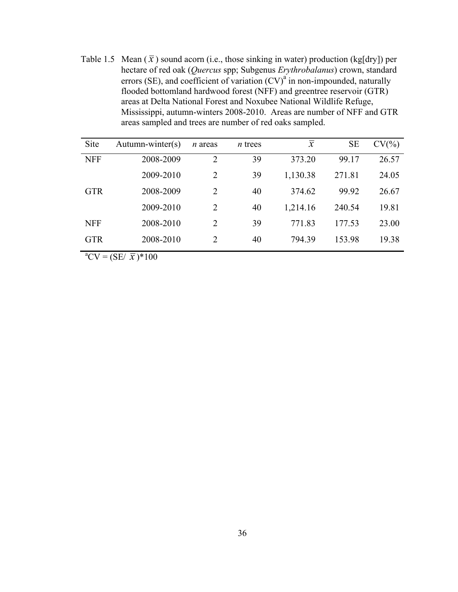Table 1.5 Mean  $(\bar{x})$  sound acorn (i.e., those sinking in water) production (kg[dry]) per hectare of red oak (*Quercus* spp; Subgenus *Erythrobalanus*) crown, standard errors (SE), and coefficient of variation  $(CV)^{a}$  in non-impounded, naturally flooded bottomland hardwood forest (NFF) and greentree reservoir (GTR) areas at Delta National Forest and Noxubee National Wildlife Refuge, Mississippi, autumn-winters 2008-2010. Areas are number of NFF and GTR areas sampled and trees are number of red oaks sampled.

| Site       | $Autumn\text{-}winter(s)$ | <i>n</i> areas              | $n$ trees | $\overline{x}$ | <b>SE</b> | $CV(\% )$ |
|------------|---------------------------|-----------------------------|-----------|----------------|-----------|-----------|
| <b>NFF</b> | 2008-2009                 | 2                           | 39        | 373.20         | 99.17     | 26.57     |
|            | 2009-2010                 | 2                           | 39        | 1,130.38       | 271.81    | 24.05     |
| <b>GTR</b> | 2008-2009                 | 2                           | 40        | 374.62         | 99.92     | 26.67     |
|            | 2009-2010                 | 2                           | 40        | 1,214.16       | 240.54    | 19.81     |
| <b>NFF</b> | 2008-2010                 | $\mathcal{D}_{\mathcal{L}}$ | 39        | 771.83         | 177.53    | 23.00     |
| <b>GTR</b> | 2008-2010                 | 2                           | 40        | 794.39         | 153.98    | 19.38     |

 ${}^{a}CV = (SE/\bar{x}) * 100$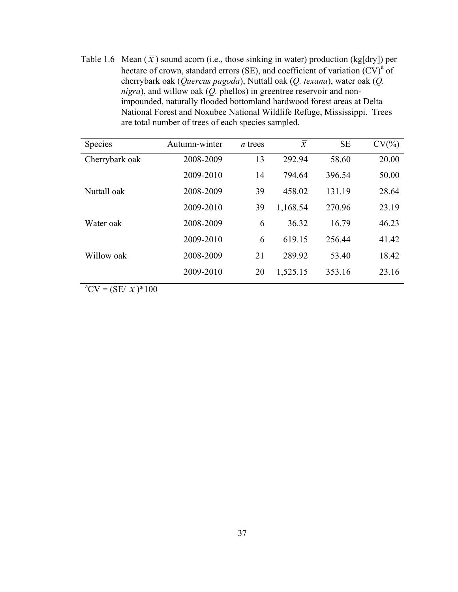Table 1.6 Mean  $(\bar{x})$  sound acorn (i.e., those sinking in water) production (kg[dry]) per hectare of crown, standard errors (SE), and coefficient of variation  $(CV)^{a}$  of cherrybark oak (*Quercus pagoda*), Nuttall oak (*Q. texana*), water oak (*Q. nigra*), and willow oak (*Q.* phellos) in greentree reservoir and nonimpounded, naturally flooded bottomland hardwood forest areas at Delta National Forest and Noxubee National Wildlife Refuge, Mississippi. Trees are total number of trees of each species sampled.

| Species        | Autumn-winter | $n$ trees | $\overline{x}$ | <b>SE</b> | $CV(\% )$ |
|----------------|---------------|-----------|----------------|-----------|-----------|
| Cherrybark oak | 2008-2009     | 13        | 292.94         | 58.60     | 20.00     |
|                | 2009-2010     | 14        | 794.64         | 396.54    | 50.00     |
| Nuttall oak    | 2008-2009     | 39        | 458.02         | 131.19    | 28.64     |
|                | 2009-2010     | 39        | 1,168.54       | 270.96    | 23.19     |
| Water oak      | 2008-2009     | 6         | 36.32          | 16.79     | 46.23     |
|                | 2009-2010     | 6         | 619.15         | 256.44    | 41.42     |
| Willow oak     | 2008-2009     | 21        | 289.92         | 53.40     | 18.42     |
|                | 2009-2010     | 20        | 1,525.15       | 353.16    | 23.16     |

 ${}^{a}CV = (SE/\bar{x}) * 100$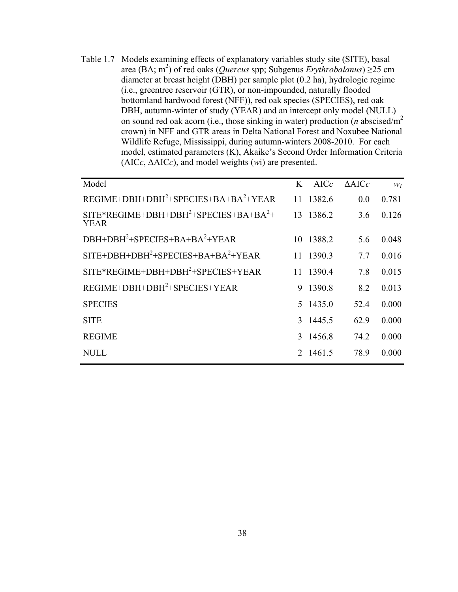Table 1.7 Models examining effects of explanatory variables study site (SITE), basal area (BA; m<sup>2</sup>) of red oaks (*Quercus* spp; Subgenus *Erythrobalanus*) ≥25 cm diameter at breast height (DBH) per sample plot (0.2 ha), hydrologic regime (i.e., greentree reservoir (GTR), or non-impounded, naturally flooded bottomland hardwood forest (NFF)), red oak species (SPECIES), red oak DBH, autumn-winter of study (YEAR) and an intercept only model (NULL) on sound red oak acorn (i.e., those sinking in water) production (*n* abscised/m2 crown) in NFF and GTR areas in Delta National Forest and Noxubee National Wildlife Refuge, Mississippi, during autumn-winters 2008-2010. For each model, estimated parameters (K), Akaike's Second Order Information Criteria (AIC*c*, ΔAIC*c*), and model weights (*w*i) are presented.

| Model                                          | K  | AICc      | $\triangle$ AICc | $W_i$ |
|------------------------------------------------|----|-----------|------------------|-------|
| $REGIME+DBH+DBH2+SPECIES+BA+BA2+YEAR$          | 11 | 1382.6    | 0.0              | 0.781 |
| $SITE*REGIME+DBH+DBH2+SPECIES+BA+BA2+$<br>YEAR |    | 13 1386.2 | 3.6              | 0.126 |
| $DBH+DBH2+SPECIES+BA+BA2+YEAR$                 |    | 10 1388.2 | 5.6              | 0.048 |
| $SITE+DBH+DBH2+SPECIES+BA+BA2+YEAR$            |    | 11 1390.3 | 7.7              | 0.016 |
| $SITE*REGIME+DBH+DBH2+SPECIES+YEAR$            |    | 11 1390.4 | 7.8              | 0.015 |
| $REGIME+DBH+DBH2+SPECIES+YEAR$                 |    | 9 1390.8  | 8.2              | 0.013 |
| <b>SPECIES</b>                                 |    | 5 1435.0  | 52.4             | 0.000 |
| <b>SITE</b>                                    |    | 3 1445.5  | 62.9             | 0.000 |
| <b>REGIME</b>                                  |    | 3 1456.8  | 74.2             | 0.000 |
| NULL                                           |    | 2 1461.5  | 78.9             | 0.000 |
|                                                |    |           |                  |       |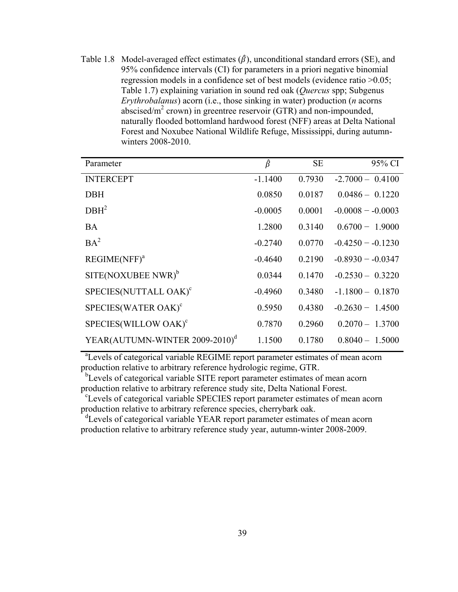Table 1.8 Model-averaged effect estimates  $(\hat{\beta})$ , unconditional standard errors (SE), and 95% confidence intervals (CI) for parameters in a priori negative binomial regression models in a confidence set of best models (evidence ratio >0.05; Table 1.7) explaining variation in sound red oak (*Quercus* spp; Subgenus *Erythrobalanus*) acorn (i.e., those sinking in water) production (*n* acorns abscised/ $m^2$  crown) in greentree reservoir (GTR) and non-impounded, naturally flooded bottomland hardwood forest (NFF) areas at Delta National Forest and Noxubee National Wildlife Refuge, Mississippi, during autumnwinters 2008-2010.

| Parameter                                  | β         | <b>SE</b> | 95% CI             |
|--------------------------------------------|-----------|-----------|--------------------|
| <b>INTERCEPT</b>                           | $-1.1400$ | 0.7930    | $-2.7000 - 0.4100$ |
| <b>DBH</b>                                 | 0.0850    | 0.0187    | $0.0486 - 0.1220$  |
| DBH <sup>2</sup>                           | $-0.0005$ | 0.0001    | $-0.0008 - 0.0003$ |
| <b>BA</b>                                  | 1.2800    | 0.3140    | $0.6700 - 1.9000$  |
| $BA^2$                                     | $-0.2740$ | 0.0770    | $-0.4250 - 0.1230$ |
| REGIME(NFF) <sup>a</sup>                   | $-0.4640$ | 0.2190    | $-0.8930 - 0.0347$ |
| $SITE(NOXUBEE NWR)^b$                      | 0.0344    | 0.1470    | $-0.2530 - 0.3220$ |
| SPECIES(NUTTALL OAK) <sup>c</sup>          | $-0.4960$ | 0.3480    | $-1.1800 - 0.1870$ |
| SPECIES(WATER OAK) <sup>c</sup>            | 0.5950    | 0.4380    | $-0.2630 - 1.4500$ |
| SPECIES(WILLOW OAK) <sup>c</sup>           | 0.7870    | 0.2960    | $0.2070 - 1.3700$  |
| YEAR(AUTUMN-WINTER 2009-2010) <sup>d</sup> | 1.1500    | 0.1780    | $0.8040 - 1.5000$  |

<sup>a</sup> Levels of categorical variable REGIME report parameter estimates of mean acorn production relative to arbitrary reference hydrologic regime, GTR.

<sup>b</sup>Levels of categorical variable SITE report parameter estimates of mean acorn production relative to arbitrary reference study site, Delta National Forest.

<sup>c</sup>Levels of categorical variable SPECIES report parameter estimates of mean acorn production relative to arbitrary reference species, cherrybark oak.

<sup>d</sup>Levels of categorical variable YEAR report parameter estimates of mean acorn production relative to arbitrary reference study year, autumn-winter 2008-2009.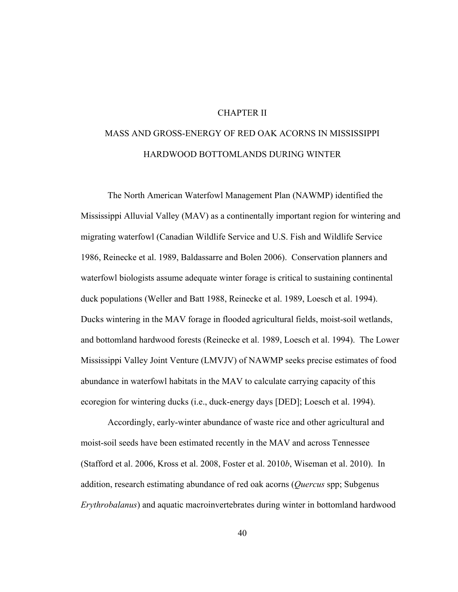## CHAPTER II

# MASS AND GROSS-ENERGY OF RED OAK ACORNS IN MISSISSIPPI HARDWOOD BOTTOMLANDS DURING WINTER

The North American Waterfowl Management Plan (NAWMP) identified the Mississippi Alluvial Valley (MAV) as a continentally important region for wintering and migrating waterfowl (Canadian Wildlife Service and U.S. Fish and Wildlife Service 1986, Reinecke et al. 1989, Baldassarre and Bolen 2006). Conservation planners and waterfowl biologists assume adequate winter forage is critical to sustaining continental duck populations (Weller and Batt 1988, Reinecke et al. 1989, Loesch et al. 1994). Ducks wintering in the MAV forage in flooded agricultural fields, moist-soil wetlands, and bottomland hardwood forests (Reinecke et al. 1989, Loesch et al. 1994). The Lower Mississippi Valley Joint Venture (LMVJV) of NAWMP seeks precise estimates of food abundance in waterfowl habitats in the MAV to calculate carrying capacity of this ecoregion for wintering ducks (i.e., duck-energy days [DED]; Loesch et al. 1994).

Accordingly, early-winter abundance of waste rice and other agricultural and moist-soil seeds have been estimated recently in the MAV and across Tennessee (Stafford et al. 2006, Kross et al. 2008, Foster et al. 2010*b*, Wiseman et al. 2010). In addition, research estimating abundance of red oak acorns (*Quercus* spp; Subgenus *Erythrobalanus*) and aquatic macroinvertebrates during winter in bottomland hardwood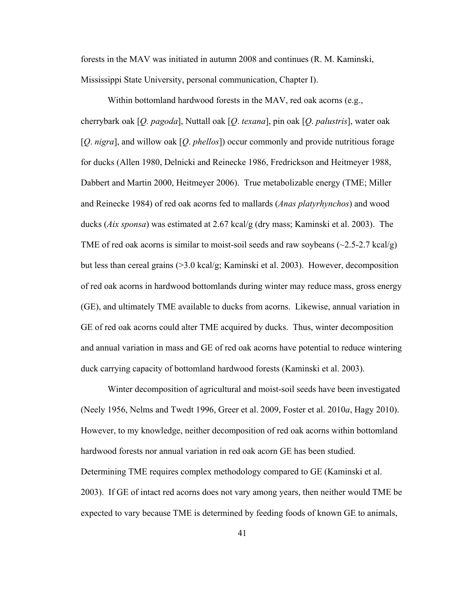forests in the MAV was initiated in autumn 2008 and continues (R. M. Kaminski, Mississippi State University, personal communication, Chapter I).

Within bottomland hardwood forests in the MAV, red oak acorns (e.g., cherrybark oak [*Q. pagoda*], Nuttall oak [*Q*. *texana*], pin oak [*Q*. *palustris*], water oak [*Q*. *nigra*], and willow oak [*Q*. *phellos*]) occur commonly and provide nutritious forage for ducks (Allen 1980, Delnicki and Reinecke 1986, Fredrickson and Heitmeyer 1988, Dabbert and Martin 2000, Heitmeyer 2006). True metabolizable energy (TME; Miller and Reinecke 1984) of red oak acorns fed to mallards (*Anas platyrhynchos*) and wood ducks (*Aix sponsa*) was estimated at 2.67 kcal/g (dry mass; Kaminski et al. 2003). The TME of red oak acorns is similar to moist-soil seeds and raw soybeans  $(\sim 2.5-2.7 \text{ kcal/g})$ but less than cereal grains (>3.0 kcal/g; Kaminski et al. 2003). However, decomposition of red oak acorns in hardwood bottomlands during winter may reduce mass, gross energy (GE), and ultimately TME available to ducks from acorns. Likewise, annual variation in GE of red oak acorns could alter TME acquired by ducks. Thus, winter decomposition and annual variation in mass and GE of red oak acorns have potential to reduce wintering duck carrying capacity of bottomland hardwood forests (Kaminski et al. 2003).

Winter decomposition of agricultural and moist-soil seeds have been investigated (Neely 1956, Nelms and Twedt 1996, Greer et al. 2009, Foster et al. 2010*a*, Hagy 2010). However, to my knowledge, neither decomposition of red oak acorns within bottomland hardwood forests nor annual variation in red oak acorn GE has been studied. Determining TME requires complex methodology compared to GE (Kaminski et al. 2003). If GE of intact red acorns does not vary among years, then neither would TME be expected to vary because TME is determined by feeding foods of known GE to animals,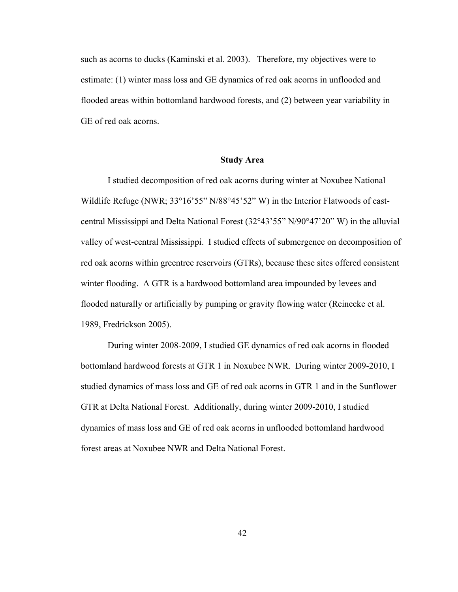such as acorns to ducks (Kaminski et al. 2003). Therefore, my objectives were to estimate: (1) winter mass loss and GE dynamics of red oak acorns in unflooded and flooded areas within bottomland hardwood forests, and (2) between year variability in GE of red oak acorns.

## **Study Area**

 I studied decomposition of red oak acorns during winter at Noxubee National Wildlife Refuge (NWR; 33°16'55" N/88°45'52" W) in the Interior Flatwoods of eastcentral Mississippi and Delta National Forest (32°43'55" N/90°47'20" W) in the alluvial valley of west-central Mississippi. I studied effects of submergence on decomposition of red oak acorns within greentree reservoirs (GTRs), because these sites offered consistent winter flooding. A GTR is a hardwood bottomland area impounded by levees and flooded naturally or artificially by pumping or gravity flowing water (Reinecke et al. 1989, Fredrickson 2005).

During winter 2008-2009, I studied GE dynamics of red oak acorns in flooded bottomland hardwood forests at GTR 1 in Noxubee NWR. During winter 2009-2010, I studied dynamics of mass loss and GE of red oak acorns in GTR 1 and in the Sunflower GTR at Delta National Forest. Additionally, during winter 2009-2010, I studied dynamics of mass loss and GE of red oak acorns in unflooded bottomland hardwood forest areas at Noxubee NWR and Delta National Forest.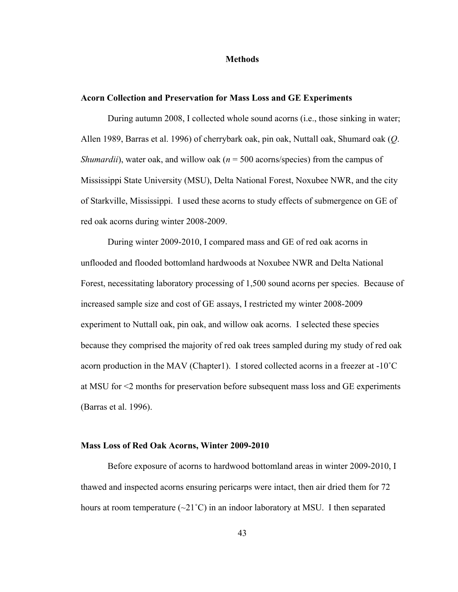## **Methods**

## **Acorn Collection and Preservation for Mass Loss and GE Experiments**

During autumn 2008, I collected whole sound acorns (i.e., those sinking in water; Allen 1989, Barras et al. 1996) of cherrybark oak, pin oak, Nuttall oak, Shumard oak (*Q*. *Shumardii*), water oak, and willow oak ( $n = 500$  acorns/species) from the campus of Mississippi State University (MSU), Delta National Forest, Noxubee NWR, and the city of Starkville, Mississippi. I used these acorns to study effects of submergence on GE of red oak acorns during winter 2008-2009.

During winter 2009-2010, I compared mass and GE of red oak acorns in unflooded and flooded bottomland hardwoods at Noxubee NWR and Delta National Forest, necessitating laboratory processing of 1,500 sound acorns per species. Because of increased sample size and cost of GE assays, I restricted my winter 2008-2009 experiment to Nuttall oak, pin oak, and willow oak acorns. I selected these species because they comprised the majority of red oak trees sampled during my study of red oak acorn production in the MAV (Chapter1). I stored collected acorns in a freezer at -10˚C at MSU for <2 months for preservation before subsequent mass loss and GE experiments (Barras et al. 1996).

## **Mass Loss of Red Oak Acorns, Winter 2009-2010**

Before exposure of acorns to hardwood bottomland areas in winter 2009-2010, I thawed and inspected acorns ensuring pericarps were intact, then air dried them for 72 hours at room temperature  $(\sim 21^{\circ}C)$  in an indoor laboratory at MSU. I then separated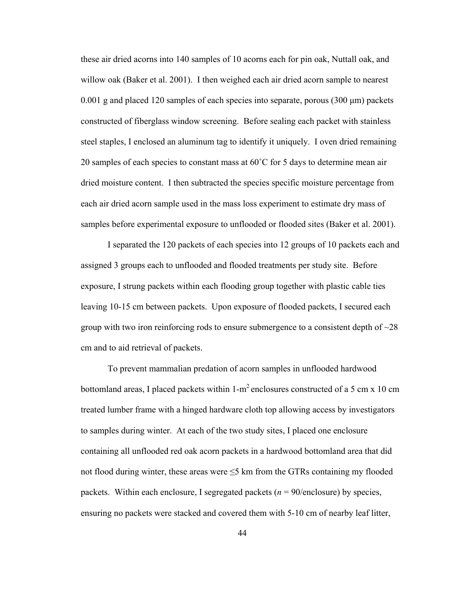these air dried acorns into 140 samples of 10 acorns each for pin oak, Nuttall oak, and willow oak (Baker et al. 2001). I then weighed each air dried acorn sample to nearest  $0.001$  g and placed 120 samples of each species into separate, porous (300  $\mu$ m) packets constructed of fiberglass window screening. Before sealing each packet with stainless steel staples, I enclosed an aluminum tag to identify it uniquely. I oven dried remaining 20 samples of each species to constant mass at  $60^{\circ}$ C for 5 days to determine mean air dried moisture content. I then subtracted the species specific moisture percentage from each air dried acorn sample used in the mass loss experiment to estimate dry mass of samples before experimental exposure to unflooded or flooded sites (Baker et al. 2001).

I separated the 120 packets of each species into 12 groups of 10 packets each and assigned 3 groups each to unflooded and flooded treatments per study site. Before exposure, I strung packets within each flooding group together with plastic cable ties leaving 10-15 cm between packets. Upon exposure of flooded packets, I secured each group with two iron reinforcing rods to ensure submergence to a consistent depth of  $\sim$ 28 cm and to aid retrieval of packets.

To prevent mammalian predation of acorn samples in unflooded hardwood bottomland areas, I placed packets within 1-m<sup>2</sup> enclosures constructed of a 5 cm x 10 cm treated lumber frame with a hinged hardware cloth top allowing access by investigators to samples during winter. At each of the two study sites, I placed one enclosure containing all unflooded red oak acorn packets in a hardwood bottomland area that did not flood during winter, these areas were  $\leq$ 5 km from the GTRs containing my flooded packets. Within each enclosure, I segregated packets (*n* = 90/enclosure) by species, ensuring no packets were stacked and covered them with 5-10 cm of nearby leaf litter,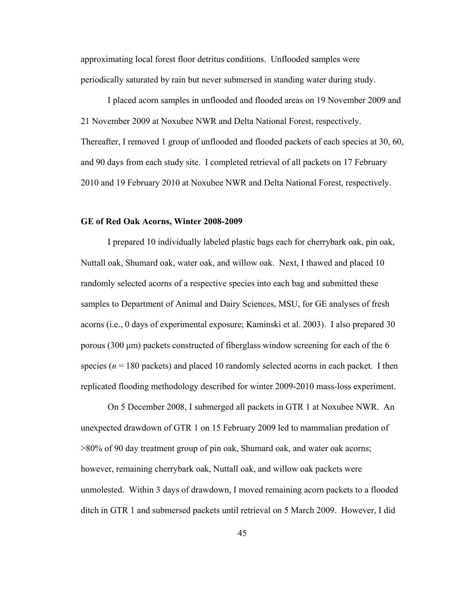approximating local forest floor detritus conditions. Unflooded samples were periodically saturated by rain but never submersed in standing water during study.

I placed acorn samples in unflooded and flooded areas on 19 November 2009 and 21 November 2009 at Noxubee NWR and Delta National Forest, respectively. Thereafter, I removed 1 group of unflooded and flooded packets of each species at 30, 60, and 90 days from each study site. I completed retrieval of all packets on 17 February 2010 and 19 February 2010 at Noxubee NWR and Delta National Forest, respectively.

## **GE of Red Oak Acorns, Winter 2008-2009**

I prepared 10 individually labeled plastic bags each for cherrybark oak, pin oak, Nuttall oak, Shumard oak, water oak, and willow oak. Next, I thawed and placed 10 randomly selected acorns of a respective species into each bag and submitted these samples to Department of Animal and Dairy Sciences, MSU, for GE analyses of fresh acorns (i.e., 0 days of experimental exposure; Kaminski et al. 2003). I also prepared 30 porous (300 μm) packets constructed of fiberglass window screening for each of the 6 species ( $n = 180$  packets) and placed 10 randomly selected acorns in each packet. I then replicated flooding methodology described for winter 2009-2010 mass-loss experiment.

On 5 December 2008, I submerged all packets in GTR 1 at Noxubee NWR. An unexpected drawdown of GTR 1 on 15 February 2009 led to mammalian predation of >80% of 90 day treatment group of pin oak, Shumard oak, and water oak acorns; however, remaining cherrybark oak, Nuttall oak, and willow oak packets were unmolested. Within 3 days of drawdown, I moved remaining acorn packets to a flooded ditch in GTR 1 and submersed packets until retrieval on 5 March 2009. However, I did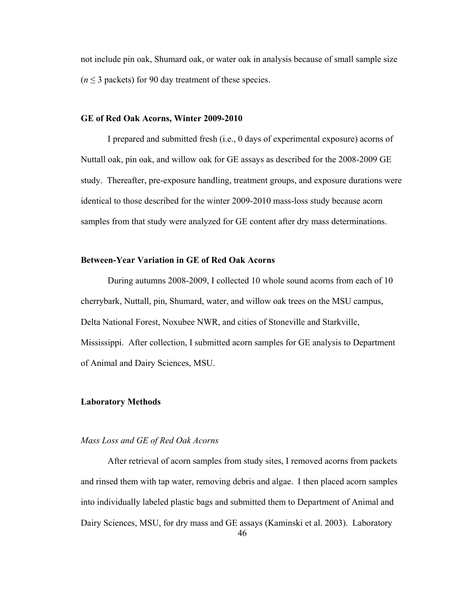not include pin oak, Shumard oak, or water oak in analysis because of small sample size  $(n \leq 3$  packets) for 90 day treatment of these species.

#### **GE of Red Oak Acorns, Winter 2009-2010**

I prepared and submitted fresh (i.e., 0 days of experimental exposure) acorns of Nuttall oak, pin oak, and willow oak for GE assays as described for the 2008-2009 GE study. Thereafter, pre-exposure handling, treatment groups, and exposure durations were identical to those described for the winter 2009-2010 mass-loss study because acorn samples from that study were analyzed for GE content after dry mass determinations.

## **Between-Year Variation in GE of Red Oak Acorns**

During autumns 2008-2009, I collected 10 whole sound acorns from each of 10 cherrybark, Nuttall, pin, Shumard, water, and willow oak trees on the MSU campus, Delta National Forest, Noxubee NWR, and cities of Stoneville and Starkville, Mississippi. After collection, I submitted acorn samples for GE analysis to Department of Animal and Dairy Sciences, MSU.

#### **Laboratory Methods**

## *Mass Loss and GE of Red Oak Acorns*

46 After retrieval of acorn samples from study sites, I removed acorns from packets and rinsed them with tap water, removing debris and algae. I then placed acorn samples into individually labeled plastic bags and submitted them to Department of Animal and Dairy Sciences, MSU, for dry mass and GE assays (Kaminski et al. 2003). Laboratory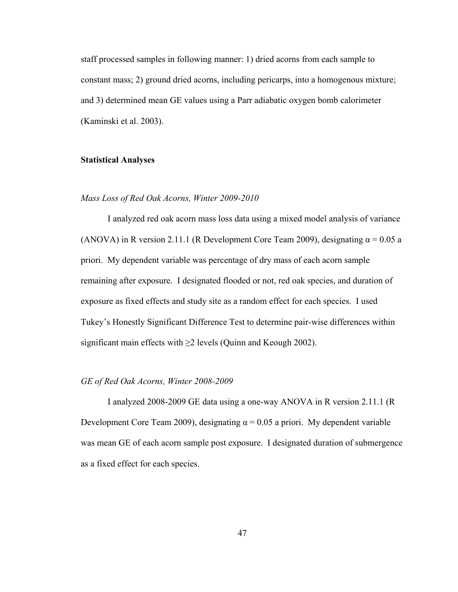staff processed samples in following manner: 1) dried acorns from each sample to constant mass; 2) ground dried acorns, including pericarps, into a homogenous mixture; and 3) determined mean GE values using a Parr adiabatic oxygen bomb calorimeter (Kaminski et al. 2003).

## **Statistical Analyses**

## *Mass Loss of Red Oak Acorns, Winter 2009-2010*

I analyzed red oak acorn mass loss data using a mixed model analysis of variance (ANOVA) in R version 2.11.1 (R Development Core Team 2009), designating  $\alpha$  = 0.05 a priori. My dependent variable was percentage of dry mass of each acorn sample remaining after exposure. I designated flooded or not, red oak species, and duration of exposure as fixed effects and study site as a random effect for each species. I used Tukey's Honestly Significant Difference Test to determine pair-wise differences within significant main effects with  $\geq$  levels (Quinn and Keough 2002).

#### *GE of Red Oak Acorns, Winter 2008-2009*

I analyzed 2008-2009 GE data using a one-way ANOVA in R version 2.11.1 (R Development Core Team 2009), designating  $\alpha = 0.05$  a priori. My dependent variable was mean GE of each acorn sample post exposure. I designated duration of submergence as a fixed effect for each species.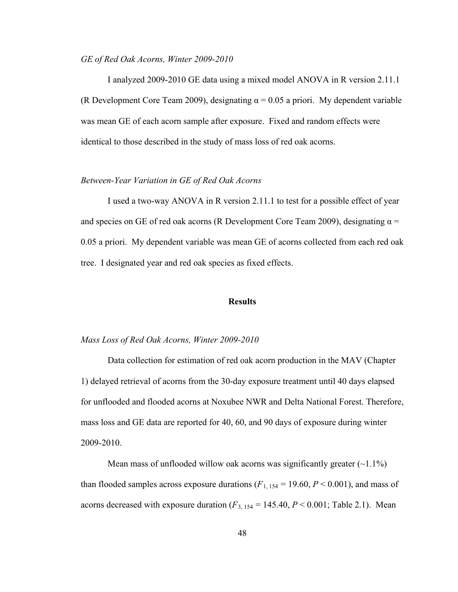## *GE of Red Oak Acorns, Winter 2009-2010*

I analyzed 2009-2010 GE data using a mixed model ANOVA in R version 2.11.1 (R Development Core Team 2009), designating  $\alpha = 0.05$  a priori. My dependent variable was mean GE of each acorn sample after exposure. Fixed and random effects were identical to those described in the study of mass loss of red oak acorns.

## *Between-Year Variation in GE of Red Oak Acorns*

I used a two-way ANOVA in R version 2.11.1 to test for a possible effect of year and species on GE of red oak acorns (R Development Core Team 2009), designating  $\alpha$  = 0.05 a priori. My dependent variable was mean GE of acorns collected from each red oak tree. I designated year and red oak species as fixed effects.

## **Results**

## *Mass Loss of Red Oak Acorns, Winter 2009-2010*

Data collection for estimation of red oak acorn production in the MAV (Chapter 1) delayed retrieval of acorns from the 30-day exposure treatment until 40 days elapsed for unflooded and flooded acorns at Noxubee NWR and Delta National Forest. Therefore, mass loss and GE data are reported for 40, 60, and 90 days of exposure during winter 2009-2010.

Mean mass of unflooded willow oak acorns was significantly greater  $(\sim1.1\%)$ than flooded samples across exposure durations  $(F_{1, 154} = 19.60, P < 0.001)$ , and mass of acorns decreased with exposure duration  $(F_{3, 154} = 145.40, P < 0.001;$  Table 2.1). Mean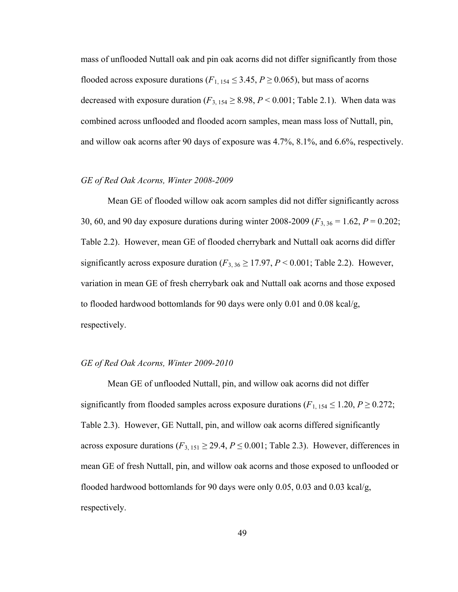mass of unflooded Nuttall oak and pin oak acorns did not differ significantly from those flooded across exposure durations ( $F_{1, 154} \leq 3.45$ ,  $P \geq 0.065$ ), but mass of acorns decreased with exposure duration ( $F_{3, 154} \ge 8.98$ ,  $P < 0.001$ ; Table 2.1). When data was combined across unflooded and flooded acorn samples, mean mass loss of Nuttall, pin, and willow oak acorns after 90 days of exposure was 4.7%, 8.1%, and 6.6%, respectively.

## *GE of Red Oak Acorns, Winter 2008-2009*

Mean GE of flooded willow oak acorn samples did not differ significantly across 30, 60, and 90 day exposure durations during winter 2008-2009 (*F*3, 36 = 1.62, *P* = 0.202; Table 2.2). However, mean GE of flooded cherrybark and Nuttall oak acorns did differ significantly across exposure duration  $(F_{3,36} \ge 17.97, P \le 0.001$ ; Table 2.2). However, variation in mean GE of fresh cherrybark oak and Nuttall oak acorns and those exposed to flooded hardwood bottomlands for 90 days were only 0.01 and 0.08 kcal/g, respectively.

#### *GE of Red Oak Acorns, Winter 2009-2010*

 Mean GE of unflooded Nuttall, pin, and willow oak acorns did not differ significantly from flooded samples across exposure durations ( $F_{1, 154} \le 1.20$ ,  $P \ge 0.272$ ; Table 2.3). However, GE Nuttall, pin, and willow oak acorns differed significantly across exposure durations ( $F_{3, 151} \ge 29.4$ ,  $P \le 0.001$ ; Table 2.3). However, differences in mean GE of fresh Nuttall, pin, and willow oak acorns and those exposed to unflooded or flooded hardwood bottomlands for 90 days were only 0.05, 0.03 and 0.03 kcal/g, respectively.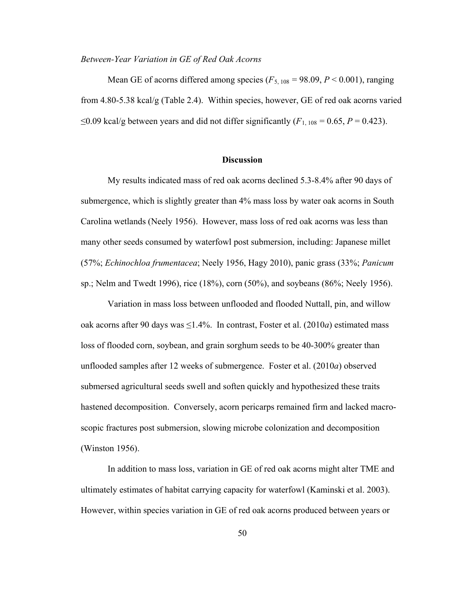#### *Between-Year Variation in GE of Red Oak Acorns*

Mean GE of acorns differed among species  $(F_{5, 108} = 98.09, P \le 0.001)$ , ranging from 4.80-5.38 kcal/g (Table 2.4). Within species, however, GE of red oak acorns varied ≤0.09 kcal/g between years and did not differ significantly  $(F_{1, 108} = 0.65, P = 0.423)$ .

## **Discussion**

My results indicated mass of red oak acorns declined 5.3-8.4% after 90 days of submergence, which is slightly greater than 4% mass loss by water oak acorns in South Carolina wetlands (Neely 1956). However, mass loss of red oak acorns was less than many other seeds consumed by waterfowl post submersion, including: Japanese millet (57%; *Echinochloa frumentacea*; Neely 1956, Hagy 2010), panic grass (33%; *Panicum* sp.; Nelm and Twedt 1996), rice (18%), corn (50%), and soybeans (86%; Neely 1956).

Variation in mass loss between unflooded and flooded Nuttall, pin, and willow oak acorns after 90 days was  $\leq$ 1.4%. In contrast, Foster et al. (2010*a*) estimated mass loss of flooded corn, soybean, and grain sorghum seeds to be 40-300% greater than unflooded samples after 12 weeks of submergence. Foster et al. (2010*a*) observed submersed agricultural seeds swell and soften quickly and hypothesized these traits hastened decomposition. Conversely, acorn pericarps remained firm and lacked macroscopic fractures post submersion, slowing microbe colonization and decomposition (Winston 1956).

In addition to mass loss, variation in GE of red oak acorns might alter TME and ultimately estimates of habitat carrying capacity for waterfowl (Kaminski et al. 2003). However, within species variation in GE of red oak acorns produced between years or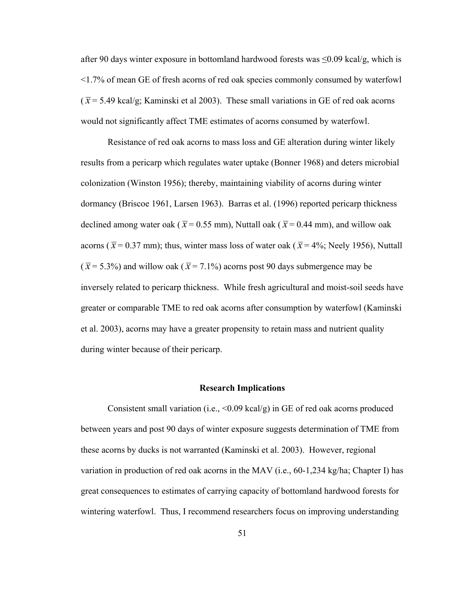after 90 days winter exposure in bottomland hardwood forests was  $\leq 0.09$  kcal/g, which is <1.7% of mean GE of fresh acorns of red oak species commonly consumed by waterfowl  $(\bar{x}$  = 5.49 kcal/g; Kaminski et al 2003). These small variations in GE of red oak acorns would not significantly affect TME estimates of acorns consumed by waterfowl.

Resistance of red oak acorns to mass loss and GE alteration during winter likely results from a pericarp which regulates water uptake (Bonner 1968) and deters microbial colonization (Winston 1956); thereby, maintaining viability of acorns during winter dormancy (Briscoe 1961, Larsen 1963). Barras et al. (1996) reported pericarp thickness declined among water oak ( $\bar{x}$  = 0.55 mm), Nuttall oak ( $\bar{x}$  = 0.44 mm), and willow oak acorns ( $\bar{x}$  = 0.37 mm); thus, winter mass loss of water oak ( $\bar{x}$  = 4%; Neely 1956), Nuttall  $(\bar{x} = 5.3\%)$  and willow oak ( $\bar{x} = 7.1\%$ ) acorns post 90 days submergence may be inversely related to pericarp thickness. While fresh agricultural and moist-soil seeds have greater or comparable TME to red oak acorns after consumption by waterfowl (Kaminski et al. 2003), acorns may have a greater propensity to retain mass and nutrient quality during winter because of their pericarp.

## **Research Implications**

Consistent small variation (i.e.,  $\leq 0.09$  kcal/g) in GE of red oak acorns produced between years and post 90 days of winter exposure suggests determination of TME from these acorns by ducks is not warranted (Kaminski et al. 2003). However, regional variation in production of red oak acorns in the MAV (i.e., 60-1,234 kg/ha; Chapter I) has great consequences to estimates of carrying capacity of bottomland hardwood forests for wintering waterfowl. Thus, I recommend researchers focus on improving understanding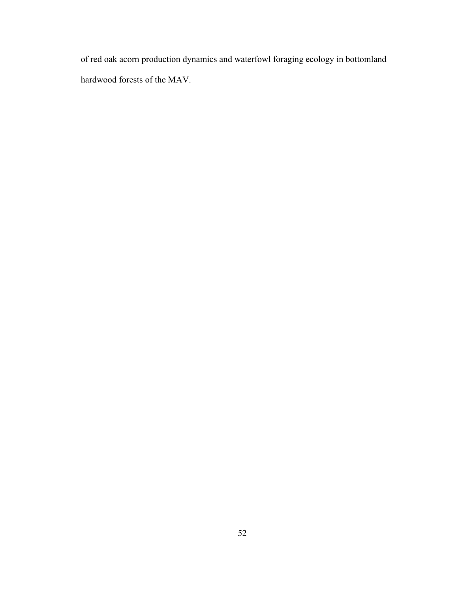of red oak acorn production dynamics and waterfowl foraging ecology in bottomland hardwood forests of the MAV.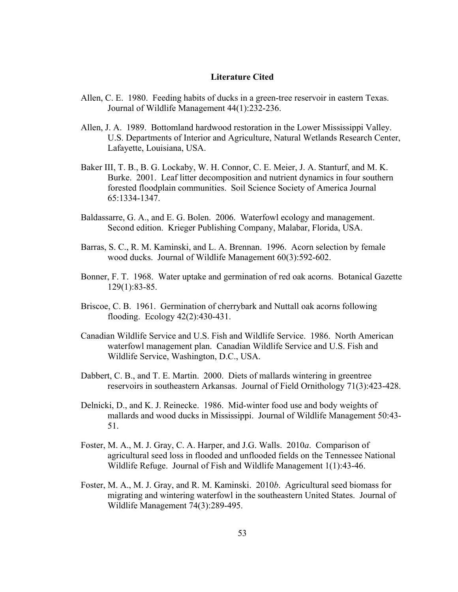#### **Literature Cited**

- Allen, C. E. 1980. Feeding habits of ducks in a green-tree reservoir in eastern Texas. Journal of Wildlife Management 44(1):232-236.
- Allen, J. A. 1989. Bottomland hardwood restoration in the Lower Mississippi Valley. U.S. Departments of Interior and Agriculture, Natural Wetlands Research Center, Lafayette, Louisiana, USA.
- Baker III, T. B., B. G. Lockaby, W. H. Connor, C. E. Meier, J. A. Stanturf, and M. K. Burke. 2001. Leaf litter decomposition and nutrient dynamics in four southern forested floodplain communities. Soil Science Society of America Journal 65:1334-1347.
- Baldassarre, G. A., and E. G. Bolen. 2006. Waterfowl ecology and management. Second edition. Krieger Publishing Company, Malabar, Florida, USA.
- Barras, S. C., R. M. Kaminski, and L. A. Brennan. 1996. Acorn selection by female wood ducks. Journal of Wildlife Management 60(3):592-602.
- Bonner, F. T. 1968. Water uptake and germination of red oak acorns. Botanical Gazette 129(1):83-85.
- Briscoe, C. B. 1961. Germination of cherrybark and Nuttall oak acorns following flooding. Ecology 42(2):430-431.
- Canadian Wildlife Service and U.S. Fish and Wildlife Service. 1986. North American waterfowl management plan. Canadian Wildlife Service and U.S. Fish and Wildlife Service, Washington, D.C., USA.
- Dabbert, C. B., and T. E. Martin. 2000. Diets of mallards wintering in greentree reservoirs in southeastern Arkansas. Journal of Field Ornithology 71(3):423-428.
- Delnicki, D., and K. J. Reinecke. 1986. Mid-winter food use and body weights of mallards and wood ducks in Mississippi. Journal of Wildlife Management 50:43- 51.
- Foster, M. A., M. J. Gray, C. A. Harper, and J.G. Walls. 2010*a*. Comparison of agricultural seed loss in flooded and unflooded fields on the Tennessee National Wildlife Refuge. Journal of Fish and Wildlife Management 1(1):43-46.
- Foster, M. A., M. J. Gray, and R. M. Kaminski. 2010*b*. Agricultural seed biomass for migrating and wintering waterfowl in the southeastern United States. Journal of Wildlife Management 74(3):289-495.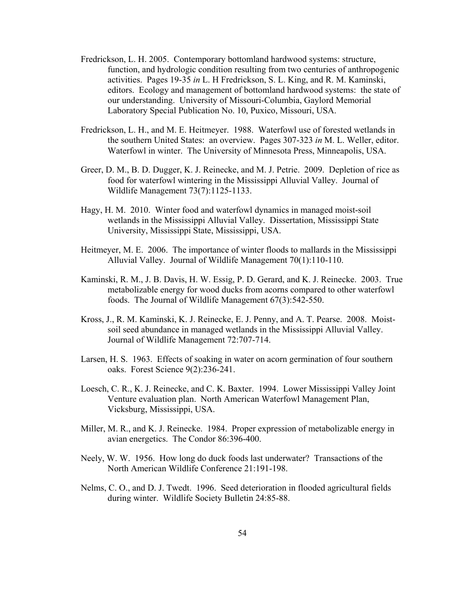- Fredrickson, L. H. 2005. Contemporary bottomland hardwood systems: structure, function, and hydrologic condition resulting from two centuries of anthropogenic activities. Pages 19-35 *in* L. H Fredrickson, S. L. King, and R. M. Kaminski, editors. Ecology and management of bottomland hardwood systems: the state of our understanding. University of Missouri-Columbia, Gaylord Memorial Laboratory Special Publication No. 10, Puxico, Missouri, USA.
- Fredrickson, L. H., and M. E. Heitmeyer. 1988. Waterfowl use of forested wetlands in the southern United States: an overview. Pages 307-323 *in* M. L. Weller, editor. Waterfowl in winter. The University of Minnesota Press, Minneapolis, USA.
- Greer, D. M., B. D. Dugger, K. J. Reinecke, and M. J. Petrie. 2009. Depletion of rice as food for waterfowl wintering in the Mississippi Alluvial Valley. Journal of Wildlife Management 73(7):1125-1133.
- Hagy, H. M. 2010. Winter food and waterfowl dynamics in managed moist-soil wetlands in the Mississippi Alluvial Valley. Dissertation, Mississippi State University, Mississippi State, Mississippi, USA.
- Heitmeyer, M. E. 2006. The importance of winter floods to mallards in the Mississippi Alluvial Valley. Journal of Wildlife Management 70(1):110-110.
- Kaminski, R. M., J. B. Davis, H. W. Essig, P. D. Gerard, and K. J. Reinecke. 2003. True metabolizable energy for wood ducks from acorns compared to other waterfowl foods. The Journal of Wildlife Management 67(3):542-550.
- Kross, J., R. M. Kaminski, K. J. Reinecke, E. J. Penny, and A. T. Pearse. 2008. Moistsoil seed abundance in managed wetlands in the Mississippi Alluvial Valley. Journal of Wildlife Management 72:707-714.
- Larsen, H. S. 1963. Effects of soaking in water on acorn germination of four southern oaks. Forest Science 9(2):236-241.
- Loesch, C. R., K. J. Reinecke, and C. K. Baxter. 1994. Lower Mississippi Valley Joint Venture evaluation plan. North American Waterfowl Management Plan, Vicksburg, Mississippi, USA.
- Miller, M. R., and K. J. Reinecke. 1984. Proper expression of metabolizable energy in avian energetics. The Condor 86:396-400.
- Neely, W. W. 1956. How long do duck foods last underwater? Transactions of the North American Wildlife Conference 21:191-198.
- Nelms, C. O., and D. J. Twedt. 1996. Seed deterioration in flooded agricultural fields during winter. Wildlife Society Bulletin 24:85-88.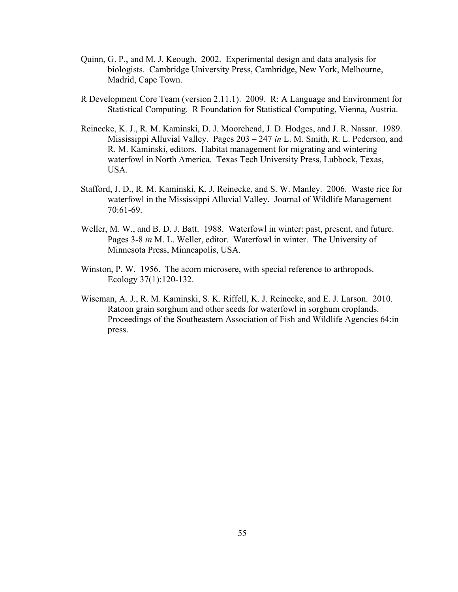- Quinn, G. P., and M. J. Keough. 2002. Experimental design and data analysis for biologists. Cambridge University Press, Cambridge, New York, Melbourne, Madrid, Cape Town.
- R Development Core Team (version 2.11.1). 2009. R: A Language and Environment for Statistical Computing. R Foundation for Statistical Computing, Vienna, Austria.
- Reinecke, K. J., R. M. Kaminski, D. J. Moorehead, J. D. Hodges, and J. R. Nassar. 1989. Mississippi Alluvial Valley. Pages 203 – 247 *in* L. M. Smith, R. L. Pederson, and R. M. Kaminski, editors. Habitat management for migrating and wintering waterfowl in North America. Texas Tech University Press, Lubbock, Texas, USA.
- Stafford, J. D., R. M. Kaminski, K. J. Reinecke, and S. W. Manley. 2006. Waste rice for waterfowl in the Mississippi Alluvial Valley. Journal of Wildlife Management 70:61-69.
- Weller, M. W., and B. D. J. Batt. 1988. Waterfowl in winter: past, present, and future. Pages 3-8 *in* M. L. Weller, editor. Waterfowl in winter. The University of Minnesota Press, Minneapolis, USA.
- Winston, P. W. 1956. The acorn microsere, with special reference to arthropods. Ecology 37(1):120-132.
- Wiseman, A. J., R. M. Kaminski, S. K. Riffell, K. J. Reinecke, and E. J. Larson. 2010. Ratoon grain sorghum and other seeds for waterfowl in sorghum croplands. Proceedings of the Southeastern Association of Fish and Wildlife Agencies 64:in press.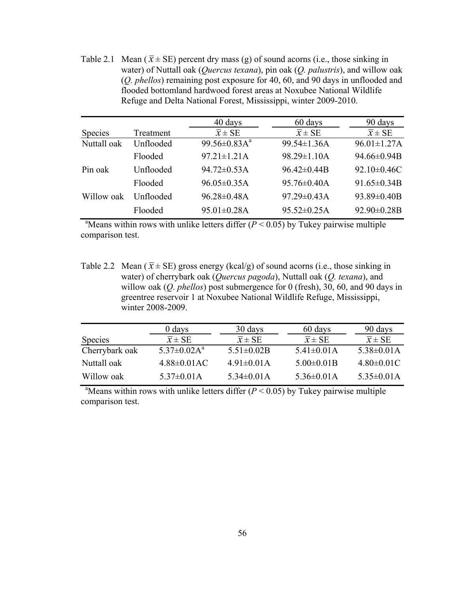Table 2.1 Mean ( $\bar{x}$  ± SE) percent dry mass (g) of sound acorns (i.e., those sinking in water) of Nuttall oak (*Quercus texana*), pin oak (*Q. palustris*), and willow oak (*Q. phellos*) remaining post exposure for 40, 60, and 90 days in unflooded and flooded bottomland hardwood forest areas at Noxubee National Wildlife Refuge and Delta National Forest, Mississippi, winter 2009-2010.

|             |           | 40 days                | 60 days             | 90 days             |
|-------------|-----------|------------------------|---------------------|---------------------|
| Species     | Treatment | $\overline{x}$ ± SE    | $\overline{x}$ ± SE | $\overline{x}$ ± SE |
| Nuttall oak | Unflooded | 99.56 $\pm$ 0.83 $A^a$ | 99.54±1.36A         | $96.01 \pm 1.27$ A  |
|             | Flooded   | $97.21 \pm 1.21$ A     | 98.29±1.10A         | 94.66±0.94B         |
| Pin oak     | Unflooded | $94.72 \pm 0.53$ A     | $96.42 \pm 0.44B$   | 92.10±0.46C         |
|             | Flooded   | $96.05 \pm 0.35$ A     | $95.76 \pm 0.40$ A  | $91.65 \pm 0.34 B$  |
| Willow oak  | Unflooded | $96.28 \pm 0.48$ A     | 97.29±0.43A         | 93.89±0.40B         |
|             | Flooded   | $95.01 \pm 0.28$ A     | $95.52 \pm 0.25$ A  | $92.90 \pm 0.28B$   |

<sup>a</sup>Means within rows with unlike letters differ  $(P < 0.05)$  by Tukey pairwise multiple comparison test.

Table 2.2 Mean ( $\bar{x}$  ± SE) gross energy (kcal/g) of sound acorns (i.e., those sinking in water) of cherrybark oak (*Quercus pagoda*), Nuttall oak (*Q. texana*), and willow oak (*Q. phellos*) post submergence for 0 (fresh), 30, 60, and 90 days in greentree reservoir 1 at Noxubee National Wildlife Refuge, Mississippi, winter 2008-2009.

|                | 0 days                         | 30 days             | 60 days             | 90 days           |
|----------------|--------------------------------|---------------------|---------------------|-------------------|
| Species        | $\overline{x} \pm SE$          | $\overline{x}$ ± SE | $\overline{x}$ ± SE | $x \pm SE$        |
| Cherrybark oak | $5.37 \pm 0.02$ A <sup>a</sup> | $5.51 \pm 0.02B$    | $5.41 \pm 0.01$ A   | $5.38 \pm 0.01$ A |
| Nuttall oak    | $4.88\pm0.01AC$                | $4.91 \pm 0.01$ A   | $5.00 \pm 0.01 B$   | $4.80 \pm 0.01$ C |
| Willow oak     | $5.37 \pm 0.01$ A              | $5.34 \pm 0.01$ A   | $5.36 \pm 0.01$ A   | $5.35 \pm 0.01$ A |

<sup>a</sup>Means within rows with unlike letters differ  $(P < 0.05)$  by Tukey pairwise multiple comparison test.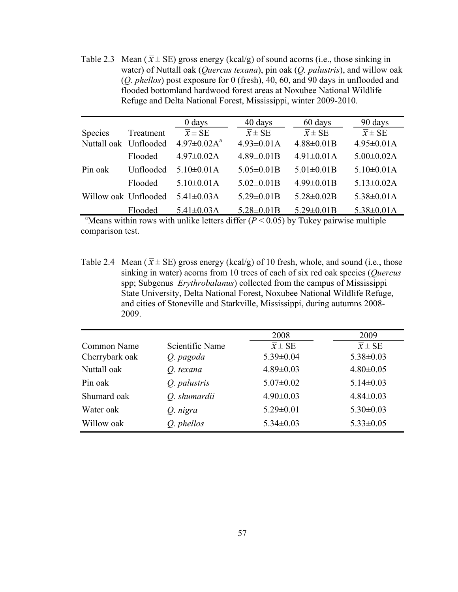Table 2.3 Mean ( $\bar{x}$  ± SE) gross energy (kcal/g) of sound acorns (i.e., those sinking in water) of Nuttall oak (*Quercus texana*), pin oak (*Q. palustris*), and willow oak (*Q. phellos*) post exposure for 0 (fresh), 40, 60, and 90 days in unflooded and flooded bottomland hardwood forest areas at Noxubee National Wildlife Refuge and Delta National Forest, Mississippi, winter 2009-2010.

|                       |           | $0$ days                       | 40 days             | 60 days             | 90 days               |
|-----------------------|-----------|--------------------------------|---------------------|---------------------|-----------------------|
| Species               | Treatment | $\overline{x} \pm SE$          | $\overline{x}$ ± SE | $\overline{x}$ ± SE | $\overline{x} \pm SE$ |
| Nuttall oak Unflooded |           | $4.97 \pm 0.02$ A <sup>a</sup> | $4.93 \pm 0.01$ A   | $4.88 \pm 0.01B$    | $4.95 \pm 0.01$ A     |
|                       | Flooded   | $4.97 \pm 0.02$ A              | $4.89 \pm 0.01 B$   | $4.91 \pm 0.01$ A   | $5.00 \pm 0.02$ A     |
| Pin oak               | Unflooded | $5.10 \pm 0.01$ A              | $5.05 \pm 0.01B$    | $5.01 \pm 0.01 B$   | $5.10 \pm 0.01$ A     |
|                       | Flooded   | $5.10 \pm 0.01$ A              | $5.02 \pm 0.01B$    | $4.99 \pm 0.01 B$   | $5.13 \pm 0.02$ A     |
| Willow oak Unflooded  |           | 5.41 $\pm$ 0.03A               | $5.29 \pm 0.01B$    | $5.28 \pm 0.02B$    | $5.38 \pm 0.01$ A     |
|                       | Flooded   | $5.41 \pm 0.03$ A              | $5.28 \pm 0.01B$    | $5.29 \pm 0.01B$    | $5.38 \pm 0.01$ A     |

<sup>a</sup>Means within rows with unlike letters differ  $(P < 0.05)$  by Tukey pairwise multiple comparison test.

Table 2.4 Mean ( $\bar{x}$  ± SE) gross energy (kcal/g) of 10 fresh, whole, and sound (i.e., those sinking in water) acorns from 10 trees of each of six red oak species (*Quercus*  spp; Subgenus *Erythrobalanus*) collected from the campus of Mississippi State University, Delta National Forest, Noxubee National Wildlife Refuge, and cities of Stoneville and Starkville, Mississippi, during autumns 2008- 2009.

|                |                 | 2008                  | 2009                |
|----------------|-----------------|-----------------------|---------------------|
| Common Name    | Scientific Name | $\overline{x} \pm SE$ | $\overline{x}$ ± SE |
| Cherrybark oak | Q. pagoda       | $5.39 \pm 0.04$       | $5.38 \pm 0.03$     |
| Nuttall oak    | O. texana       | $4.89 \pm 0.03$       | $4.80 \pm 0.05$     |
| Pin oak        | Q. palustris    | $5.07 \pm 0.02$       | $5.14 \pm 0.03$     |
| Shumard oak    | Q. shumardii    | $4.90 \pm 0.03$       | $4.84 \pm 0.03$     |
| Water oak      | Q. nigra        | $5.29 \pm 0.01$       | $5.30 \pm 0.03$     |
| Willow oak     | Q. phellos      | $5.34 \pm 0.03$       | $5.33 \pm 0.05$     |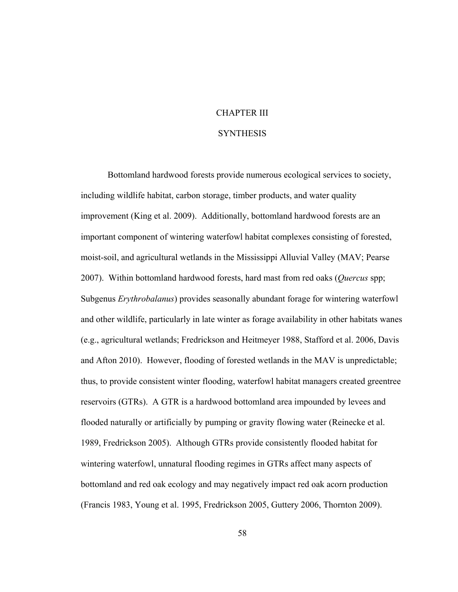## CHAPTER III

## **SYNTHESIS**

Bottomland hardwood forests provide numerous ecological services to society, including wildlife habitat, carbon storage, timber products, and water quality improvement (King et al. 2009). Additionally, bottomland hardwood forests are an important component of wintering waterfowl habitat complexes consisting of forested, moist-soil, and agricultural wetlands in the Mississippi Alluvial Valley (MAV; Pearse 2007). Within bottomland hardwood forests, hard mast from red oaks (*Quercus* spp; Subgenus *Erythrobalanus*) provides seasonally abundant forage for wintering waterfowl and other wildlife, particularly in late winter as forage availability in other habitats wanes (e.g., agricultural wetlands; Fredrickson and Heitmeyer 1988, Stafford et al. 2006, Davis and Afton 2010). However, flooding of forested wetlands in the MAV is unpredictable; thus, to provide consistent winter flooding, waterfowl habitat managers created greentree reservoirs (GTRs). A GTR is a hardwood bottomland area impounded by levees and flooded naturally or artificially by pumping or gravity flowing water (Reinecke et al. 1989, Fredrickson 2005). Although GTRs provide consistently flooded habitat for wintering waterfowl, unnatural flooding regimes in GTRs affect many aspects of bottomland and red oak ecology and may negatively impact red oak acorn production (Francis 1983, Young et al. 1995, Fredrickson 2005, Guttery 2006, Thornton 2009).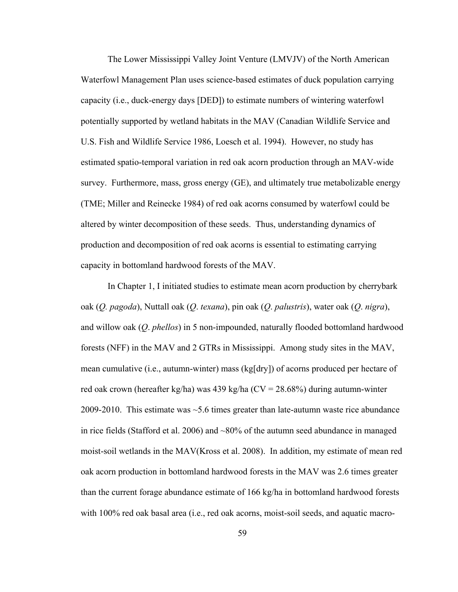The Lower Mississippi Valley Joint Venture (LMVJV) of the North American Waterfowl Management Plan uses science-based estimates of duck population carrying capacity (i.e., duck-energy days [DED]) to estimate numbers of wintering waterfowl potentially supported by wetland habitats in the MAV (Canadian Wildlife Service and U.S. Fish and Wildlife Service 1986, Loesch et al. 1994). However, no study has estimated spatio-temporal variation in red oak acorn production through an MAV-wide survey. Furthermore, mass, gross energy (GE), and ultimately true metabolizable energy (TME; Miller and Reinecke 1984) of red oak acorns consumed by waterfowl could be altered by winter decomposition of these seeds. Thus, understanding dynamics of production and decomposition of red oak acorns is essential to estimating carrying capacity in bottomland hardwood forests of the MAV.

In Chapter 1, I initiated studies to estimate mean acorn production by cherrybark oak (*Q. pagoda*), Nuttall oak (*Q*. *texana*), pin oak (*Q*. *palustris*), water oak (*Q*. *nigra*), and willow oak (*Q*. *phellos*) in 5 non-impounded, naturally flooded bottomland hardwood forests (NFF) in the MAV and 2 GTRs in Mississippi. Among study sites in the MAV, mean cumulative (i.e., autumn-winter) mass (kg[dry]) of acorns produced per hectare of red oak crown (hereafter kg/ha) was 439 kg/ha ( $CV = 28.68\%$ ) during autumn-winter 2009-2010. This estimate was  $\sim$  5.6 times greater than late-autumn waste rice abundance in rice fields (Stafford et al. 2006) and  $\sim 80\%$  of the autumn seed abundance in managed moist-soil wetlands in the MAV(Kross et al. 2008). In addition, my estimate of mean red oak acorn production in bottomland hardwood forests in the MAV was 2.6 times greater than the current forage abundance estimate of 166 kg/ha in bottomland hardwood forests with 100% red oak basal area (i.e., red oak acorns, moist-soil seeds, and aquatic macro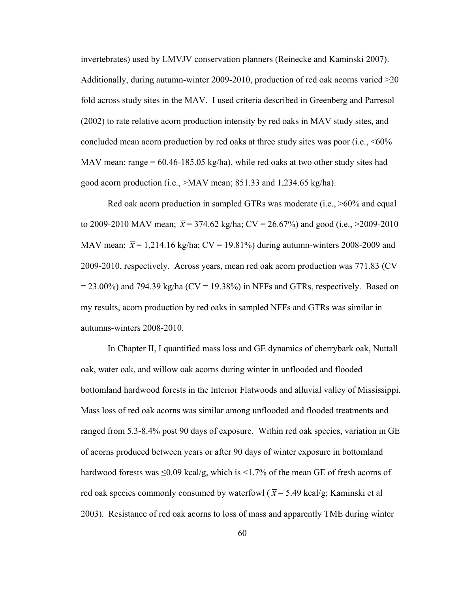invertebrates) used by LMVJV conservation planners (Reinecke and Kaminski 2007). Additionally, during autumn-winter 2009-2010, production of red oak acorns varied >20 fold across study sites in the MAV. I used criteria described in Greenberg and Parresol (2002) to rate relative acorn production intensity by red oaks in MAV study sites, and concluded mean acorn production by red oaks at three study sites was poor (i.e.,  $\leq 60\%$ ) MAV mean; range  $= 60.46 - 185.05$  kg/ha), while red oaks at two other study sites had good acorn production (i.e., >MAV mean; 851.33 and 1,234.65 kg/ha).

Red oak acorn production in sampled GTRs was moderate (i.e., >60% and equal to 2009-2010 MAV mean;  $\bar{x}$  = 374.62 kg/ha; CV = 26.67%) and good (i.e., >2009-2010 MAV mean;  $\bar{x}$  = 1,214.16 kg/ha; CV = 19.81%) during autumn-winters 2008-2009 and 2009-2010, respectively. Across years, mean red oak acorn production was 771.83 (CV  $= 23.00\%$ ) and 794.39 kg/ha (CV = 19.38%) in NFFs and GTRs, respectively. Based on my results, acorn production by red oaks in sampled NFFs and GTRs was similar in autumns-winters 2008-2010.

In Chapter II, I quantified mass loss and GE dynamics of cherrybark oak, Nuttall oak, water oak, and willow oak acorns during winter in unflooded and flooded bottomland hardwood forests in the Interior Flatwoods and alluvial valley of Mississippi. Mass loss of red oak acorns was similar among unflooded and flooded treatments and ranged from 5.3-8.4% post 90 days of exposure. Within red oak species, variation in GE of acorns produced between years or after 90 days of winter exposure in bottomland hardwood forests was  $\leq 0.09$  kcal/g, which is  $\leq 1.7\%$  of the mean GE of fresh acorns of red oak species commonly consumed by waterfowl ( $\bar{x}$  = 5.49 kcal/g; Kaminski et al 2003). Resistance of red oak acorns to loss of mass and apparently TME during winter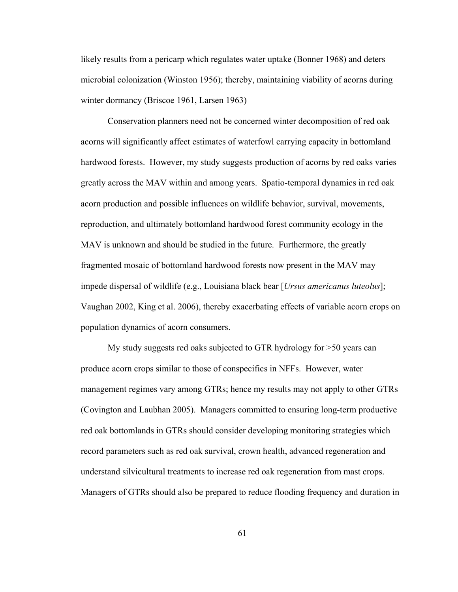likely results from a pericarp which regulates water uptake (Bonner 1968) and deters microbial colonization (Winston 1956); thereby, maintaining viability of acorns during winter dormancy (Briscoe 1961, Larsen 1963)

Conservation planners need not be concerned winter decomposition of red oak acorns will significantly affect estimates of waterfowl carrying capacity in bottomland hardwood forests. However, my study suggests production of acorns by red oaks varies greatly across the MAV within and among years. Spatio-temporal dynamics in red oak acorn production and possible influences on wildlife behavior, survival, movements, reproduction, and ultimately bottomland hardwood forest community ecology in the MAV is unknown and should be studied in the future. Furthermore, the greatly fragmented mosaic of bottomland hardwood forests now present in the MAV may impede dispersal of wildlife (e.g., Louisiana black bear [*Ursus americanus luteolus*]; Vaughan 2002, King et al. 2006), thereby exacerbating effects of variable acorn crops on population dynamics of acorn consumers.

My study suggests red oaks subjected to GTR hydrology for >50 years can produce acorn crops similar to those of conspecifics in NFFs. However, water management regimes vary among GTRs; hence my results may not apply to other GTRs (Covington and Laubhan 2005). Managers committed to ensuring long-term productive red oak bottomlands in GTRs should consider developing monitoring strategies which record parameters such as red oak survival, crown health, advanced regeneration and understand silvicultural treatments to increase red oak regeneration from mast crops. Managers of GTRs should also be prepared to reduce flooding frequency and duration in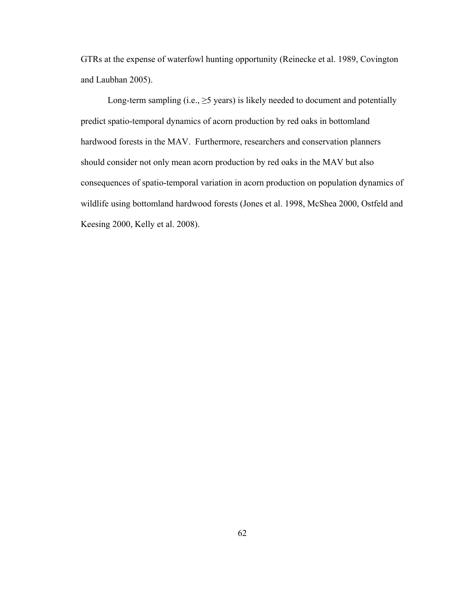GTRs at the expense of waterfowl hunting opportunity (Reinecke et al. 1989, Covington and Laubhan 2005).

Long-term sampling (i.e.,  $\geq$ 5 years) is likely needed to document and potentially predict spatio-temporal dynamics of acorn production by red oaks in bottomland hardwood forests in the MAV. Furthermore, researchers and conservation planners should consider not only mean acorn production by red oaks in the MAV but also consequences of spatio-temporal variation in acorn production on population dynamics of wildlife using bottomland hardwood forests (Jones et al. 1998, McShea 2000, Ostfeld and Keesing 2000, Kelly et al. 2008).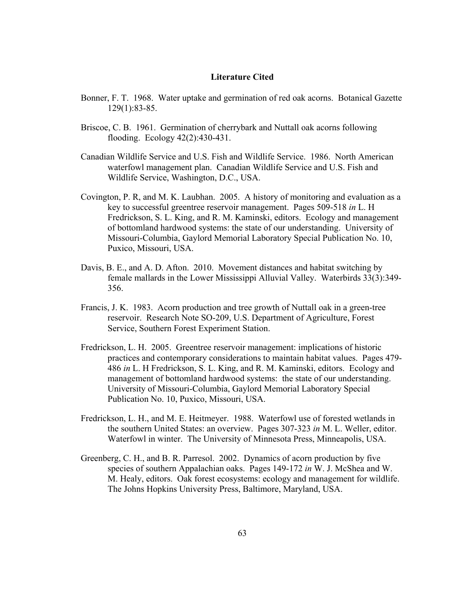## **Literature Cited**

- Bonner, F. T. 1968. Water uptake and germination of red oak acorns. Botanical Gazette 129(1):83-85.
- Briscoe, C. B. 1961. Germination of cherrybark and Nuttall oak acorns following flooding. Ecology 42(2):430-431.
- Canadian Wildlife Service and U.S. Fish and Wildlife Service. 1986. North American waterfowl management plan. Canadian Wildlife Service and U.S. Fish and Wildlife Service, Washington, D.C., USA.
- Covington, P. R, and M. K. Laubhan. 2005. A history of monitoring and evaluation as a key to successful greentree reservoir management. Pages 509-518 *in* L. H Fredrickson, S. L. King, and R. M. Kaminski, editors. Ecology and management of bottomland hardwood systems: the state of our understanding. University of Missouri-Columbia, Gaylord Memorial Laboratory Special Publication No. 10, Puxico, Missouri, USA.
- Davis, B. E., and A. D. Afton. 2010. Movement distances and habitat switching by female mallards in the Lower Mississippi Alluvial Valley. Waterbirds 33(3):349- 356.
- Francis, J. K. 1983. Acorn production and tree growth of Nuttall oak in a green-tree reservoir. Research Note SO-209, U.S. Department of Agriculture, Forest Service, Southern Forest Experiment Station.
- Fredrickson, L. H. 2005. Greentree reservoir management: implications of historic practices and contemporary considerations to maintain habitat values. Pages 479- 486 *in* L. H Fredrickson, S. L. King, and R. M. Kaminski, editors. Ecology and management of bottomland hardwood systems: the state of our understanding. University of Missouri-Columbia, Gaylord Memorial Laboratory Special Publication No. 10, Puxico, Missouri, USA.
- Fredrickson, L. H., and M. E. Heitmeyer. 1988. Waterfowl use of forested wetlands in the southern United States: an overview. Pages 307-323 *in* M. L. Weller, editor. Waterfowl in winter. The University of Minnesota Press, Minneapolis, USA.
- Greenberg, C. H., and B. R. Parresol. 2002. Dynamics of acorn production by five species of southern Appalachian oaks. Pages 149-172 *in* W. J. McShea and W. M. Healy, editors. Oak forest ecosystems: ecology and management for wildlife. The Johns Hopkins University Press, Baltimore, Maryland, USA.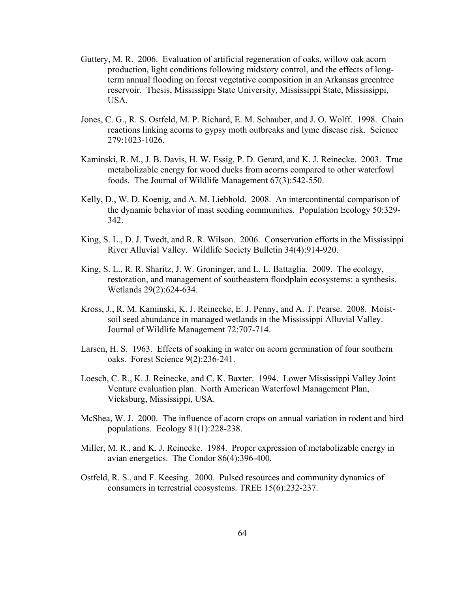- Guttery, M. R. 2006. Evaluation of artificial regeneration of oaks, willow oak acorn production, light conditions following midstory control, and the effects of longterm annual flooding on forest vegetative composition in an Arkansas greentree reservoir. Thesis, Mississippi State University, Mississippi State, Mississippi, USA.
- Jones, C. G., R. S. Ostfeld, M. P. Richard, E. M. Schauber, and J. O. Wolff. 1998. Chain reactions linking acorns to gypsy moth outbreaks and lyme disease risk. Science 279:1023-1026.
- Kaminski, R. M., J. B. Davis, H. W. Essig, P. D. Gerard, and K. J. Reinecke. 2003. True metabolizable energy for wood ducks from acorns compared to other waterfowl foods. The Journal of Wildlife Management 67(3):542-550.
- Kelly, D., W. D. Koenig, and A. M. Liebhold. 2008. An intercontinental comparison of the dynamic behavior of mast seeding communities. Population Ecology 50:329- 342.
- King, S. L., D. J. Twedt, and R. R. Wilson. 2006. Conservation efforts in the Mississippi River Alluvial Valley. Wildlife Society Bulletin 34(4):914-920.
- King, S. L., R. R. Sharitz, J. W. Groninger, and L. L. Battaglia. 2009. The ecology, restoration, and management of southeastern floodplain ecosystems: a synthesis. Wetlands 29(2):624-634.
- Kross, J., R. M. Kaminski, K. J. Reinecke, E. J. Penny, and A. T. Pearse. 2008. Moistsoil seed abundance in managed wetlands in the Mississippi Alluvial Valley. Journal of Wildlife Management 72:707-714.
- Larsen, H. S. 1963. Effects of soaking in water on acorn germination of four southern oaks. Forest Science 9(2):236-241.
- Loesch, C. R., K. J. Reinecke, and C. K. Baxter. 1994. Lower Mississippi Valley Joint Venture evaluation plan. North American Waterfowl Management Plan, Vicksburg, Mississippi, USA.
- McShea, W. J. 2000. The influence of acorn crops on annual variation in rodent and bird populations. Ecology 81(1):228-238.
- Miller, M. R., and K. J. Reinecke. 1984. Proper expression of metabolizable energy in avian energetics. The Condor 86(4):396-400.
- Ostfeld, R. S., and F. Keesing. 2000. Pulsed resources and community dynamics of consumers in terrestrial ecosystems. TREE 15(6):232-237.